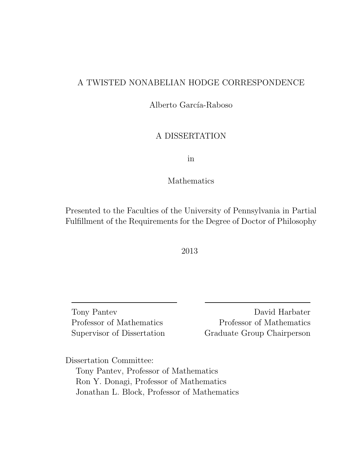## A TWISTED NONABELIAN HODGE CORRESPONDENCE

Alberto García-Raboso

## A DISSERTATION

in

#### Mathematics

Presented to the Faculties of the University of Pennsylvania in Partial Fulfillment of the Requirements for the Degree of Doctor of Philosophy

2013

Tony Pantev Professor of Mathematics Supervisor of Dissertation

David Harbater Professor of Mathematics Graduate Group Chairperson

Dissertation Committee:

Tony Pantev, Professor of Mathematics Ron Y. Donagi, Professor of Mathematics Jonathan L. Block, Professor of Mathematics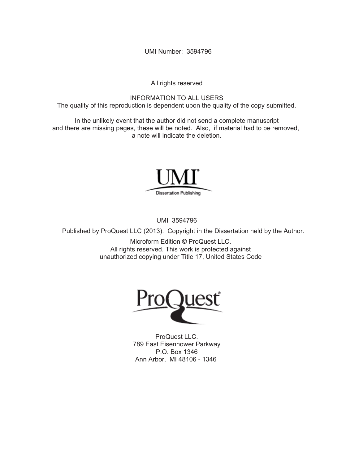UMI Number: 3594796

All rights reserved

INFORMATION TO ALL USERS The quality of this reproduction is dependent upon the quality of the copy submitted.

In the unlikely event that the author did not send a complete manuscript and there are missing pages, these will be noted. Also, if material had to be removed, a note will indicate the deletion.



UMI 3594796

Published by ProQuest LLC (2013). Copyright in the Dissertation held by the Author.

Microform Edition © ProQuest LLC. All rights reserved. This work is protected against unauthorized copying under Title 17, United States Code



ProQuest LLC. 789 East Eisenhower Parkway P.O. Box 1346 Ann Arbor, MI 48106 - 1346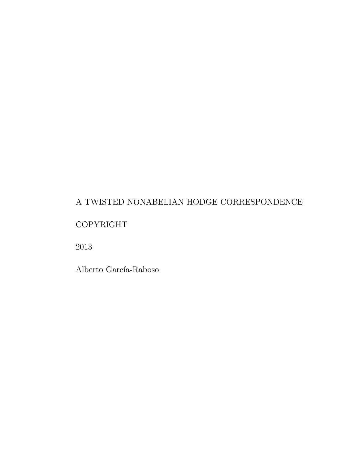# A TWISTED NONABELIAN HODGE CORRESPONDENCE

# COPYRIGHT

2013

Alberto García-Raboso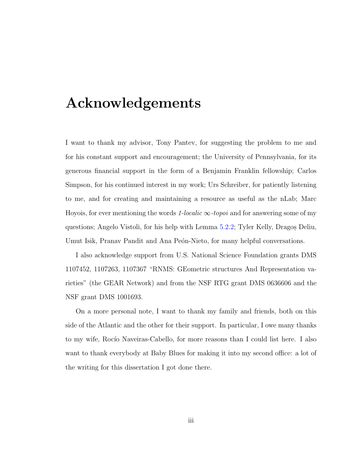# Acknowledgements

I want to thank my advisor, Tony Pantev, for suggesting the problem to me and for his constant support and encouragement; the University of Pennsylvania, for its generous financial support in the form of a Benjamin Franklin fellowship; Carlos Simpson, for his continued interest in my work; Urs Schreiber, for patiently listening to me, and for creating and maintaining a resource as useful as the nLab; Marc Hoyois, for ever mentioning the words 1-localic  $\infty$ -topoi and for answering some of my questions; Angelo Vistoli, for his help with Lemma [5.2.2;](#page-56-0) Tyler Kelly, Dragos, Deliu, Umut Isik, Pranav Pandit and Ana Peón-Nieto, for many helpful conversations.

I also acknowledge support from U.S. National Science Foundation grants DMS 1107452, 1107263, 1107367 "RNMS: GEometric structures And Representation varieties" (the GEAR Network) and from the NSF RTG grant DMS 0636606 and the NSF grant DMS 1001693.

On a more personal note, I want to thank my family and friends, both on this side of the Atlantic and the other for their support. In particular, I owe many thanks to my wife, Rocío Naveiras-Cabello, for more reasons than I could list here. I also want to thank everybody at Baby Blues for making it into my second office: a lot of the writing for this dissertation I got done there.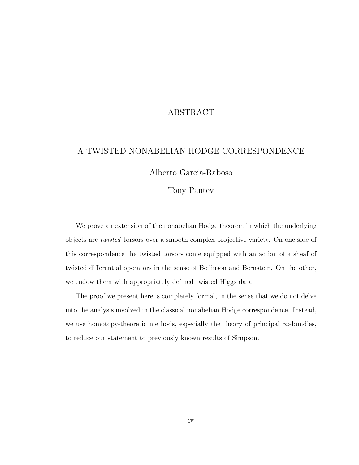### ABSTRACT

#### A TWISTED NONABELIAN HODGE CORRESPONDENCE

Alberto García-Raboso

#### Tony Pantev

We prove an extension of the nonabelian Hodge theorem in which the underlying objects are twisted torsors over a smooth complex projective variety. On one side of this correspondence the twisted torsors come equipped with an action of a sheaf of twisted differential operators in the sense of Beĭlinson and Bernstein. On the other, we endow them with appropriately defined twisted Higgs data.

The proof we present here is completely formal, in the sense that we do not delve into the analysis involved in the classical nonabelian Hodge correspondence. Instead, we use homotopy-theoretic methods, especially the theory of principal  $\infty$ -bundles, to reduce our statement to previously known results of Simpson.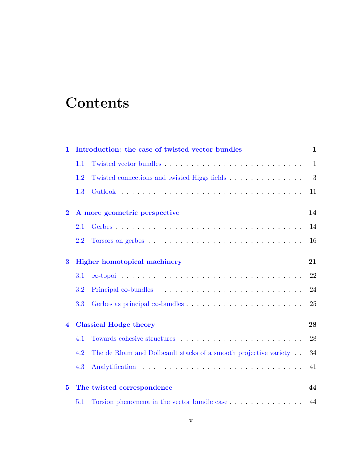# **Contents**

| 1                       |     | Introduction: the case of twisted vector bundles                            | 1            |
|-------------------------|-----|-----------------------------------------------------------------------------|--------------|
|                         | 1.1 |                                                                             | $\mathbf{1}$ |
|                         | 1.2 | Twisted connections and twisted Higgs fields                                | 3            |
|                         | 1.3 |                                                                             | 11           |
| $\overline{2}$          |     | A more geometric perspective                                                | 14           |
|                         | 2.1 |                                                                             | 14           |
|                         | 2.2 |                                                                             | 16           |
| 3                       |     | <b>Higher homotopical machinery</b>                                         | 21           |
|                         | 3.1 |                                                                             | 22           |
|                         | 3.2 |                                                                             | 24           |
|                         | 3.3 |                                                                             | 25           |
| $\overline{\mathbf{4}}$ |     | <b>Classical Hodge theory</b>                                               | 28           |
|                         | 4.1 |                                                                             | 28           |
|                         | 4.2 | The de Rham and Dolbeault stacks of a smooth projective variety.            | 34           |
|                         | 4.3 |                                                                             | 41           |
| $\bf{5}$                |     | The twisted correspondence                                                  | 44           |
|                         | 5.1 | Torsion phenomena in the vector bundle case $\dots \dots \dots \dots \dots$ | 44           |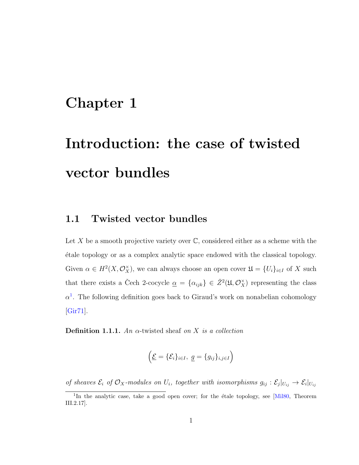# <span id="page-7-0"></span>Chapter 1

# Introduction: the case of twisted vector bundles

## <span id="page-7-1"></span>1.1 Twisted vector bundles

Let X be a smooth projective variety over  $\mathbb{C}$ , considered either as a scheme with the ´etale topology or as a complex analytic space endowed with the classical topology. Given  $\alpha \in H^2(X, \mathcal{O}_X^{\times})$ , we can always choose an open cover  $\mathfrak{U} = \{U_i\}_{i \in I}$  of X such that there exists a Čech 2-cocycle  $\alpha = {\alpha_{ijk}} \in \check{Z}^2(\mathfrak{U}, \mathcal{O}_X^{\times})$  representing the class  $\alpha^1$  $\alpha^1$ . The following definition goes back to Giraud's work on nonabelian cohomology [\[Gir71\]](#page-74-0).

<span id="page-7-3"></span>**Definition 1.1.1.** An  $\alpha$ -twisted sheaf on X is a collection

$$
\left(\underline{\mathcal{E}}=\{\mathcal{E}_i\}_{i\in I},\ \underline{g}=\{g_{ij}\}_{i,j\in I}\right)
$$

of sheaves  $\mathcal{E}_i$  of  $\mathcal{O}_X$ -modules on  $U_i$ , together with isomorphisms  $g_{ij}: \mathcal{E}_j|_{U_{ij}} \to \mathcal{E}_i|_{U_{ij}}$ 

<span id="page-7-2"></span><sup>&</sup>lt;sup>1</sup>In the analytic case, take a good open cover; for the étale topology, see [\[Mil80,](#page-75-0) Theorem III.2.17].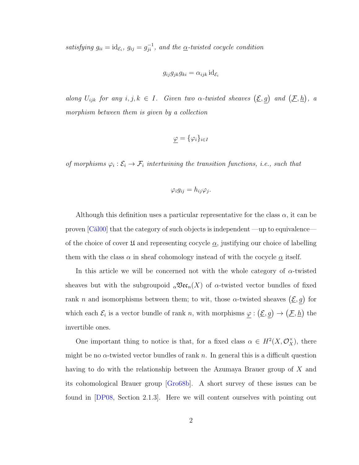satisfying  $g_{ii} = id_{\mathcal{E}_i}$ ,  $g_{ij} = g_{ji}^{-1}$ , and the  $\underline{\alpha}$ -twisted cocycle condition

$$
g_{ij}g_{jk}g_{ki} = \alpha_{ijk} \mathrm{id}_{\mathcal{E}_i}
$$

along  $U_{ijk}$  for any  $i, j, k \in I$ . Given two  $\alpha$ -twisted sheaves  $(\underline{\mathcal{E}}, g)$  and  $(\underline{\mathcal{F}}, h)$ , a morphism between them is given by a collection

$$
\varphi = \{\varphi_i\}_{i \in I}
$$

of morphisms  $\varphi_i : \mathcal{E}_i \to \mathcal{F}_i$  intertwining the transition functions, i.e., such that

$$
\varphi_i g_{ij} = h_{ij} \varphi_j.
$$

Although this definition uses a particular representative for the class  $\alpha$ , it can be proven  $\lbrack\text{Căl00}\rbrack$  that the category of such objects is independent —up to equivalence of the choice of cover  $\mathfrak U$  and representing cocycle  $\alpha$ , justifying our choice of labelling them with the class  $\alpha$  in sheaf cohomology instead of with the cocycle  $\alpha$  itself.

In this article we will be concerned not with the whole category of  $\alpha$ -twisted sheaves but with the subgroupoid  $_{\alpha} \mathfrak{Vec}_n(X)$  of  $\alpha$ -twisted vector bundles of fixed rank n and isomorphisms between them; to wit, those  $\alpha$ -twisted sheaves  $(\underline{\mathcal{E}}, g)$  for which each  $\mathcal{E}_i$  is a vector bundle of rank n, with morphisms  $\varphi : (\underline{\mathcal{E}}, g) \to (\underline{\mathcal{F}}, h)$  the invertible ones.

One important thing to notice is that, for a fixed class  $\alpha \in H^2(X, \mathcal{O}_X^{\times})$ , there might be no  $\alpha$ -twisted vector bundles of rank n. In general this is a difficult question having to do with the relationship between the Azumaya Brauer group of X and its cohomological Brauer group [\[Gro68b\]](#page-74-1). A short survey of these issues can be found in [\[DP08,](#page-74-2) Section 2.1.3]. Here we will content ourselves with pointing out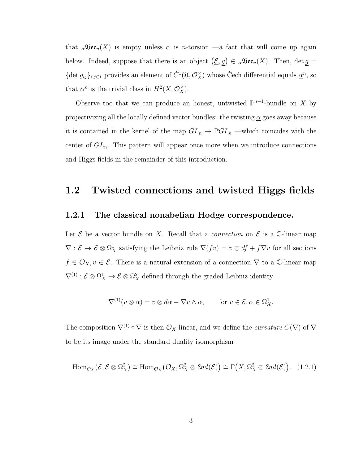that  $_{\alpha} \mathfrak{Vec}_n(X)$  is empty unless  $\alpha$  is *n*-torsion —a fact that will come up again below. Indeed, suppose that there is an object  $(\underline{\mathcal{E}}, g) \in {}_{\alpha} \mathfrak{Vec}_n(X)$ . Then,  $\det g =$ {det  $g_{ij}\}_{i,j\in I}$  provides an element of  $\check{C}^1(\mathfrak{U}, \mathcal{O}_X^{\times})$  whose Čech differential equals  $\underline{\alpha}^n$ , so that  $\alpha^n$  is the trivial class in  $H^2(X, \mathcal{O}_X^{\times})$ .

Observe too that we can produce an honest, untwisted  $\mathbb{P}^{n-1}$ -bundle on X by projectivizing all the locally defined vector bundles: the twisting  $\alpha$  goes away because it is contained in the kernel of the map  $GL_n \to \mathbb{P} GL_n$  —which coincides with the center of  $GL_n$ . This pattern will appear once more when we introduce connections and Higgs fields in the remainder of this introduction.

## <span id="page-9-0"></span>1.2 Twisted connections and twisted Higgs fields

#### 1.2.1 The classical nonabelian Hodge correspondence.

Let  $\mathcal E$  be a vector bundle on X. Recall that a *connection* on  $\mathcal E$  is a C-linear map  $\nabla : \mathcal{E} \to \mathcal{E} \otimes \Omega^1_X$  satisfying the Leibniz rule  $\nabla(fv) = v \otimes df + f \nabla v$  for all sections  $f \in \mathcal{O}_X, v \in \mathcal{E}$ . There is a natural extension of a connection  $\nabla$  to a C-linear map  $\nabla^{(1)}$ :  $\mathcal{E} \otimes \Omega_X^1 \to \mathcal{E} \otimes \Omega_X^2$  defined through the graded Leibniz identity

$$
\nabla^{(1)}(v \otimes \alpha) = v \otimes d\alpha - \nabla v \wedge \alpha, \quad \text{for } v \in \mathcal{E}, \alpha \in \Omega^1_X.
$$

The composition  $\nabla^{(1)} \circ \nabla$  is then  $\mathcal{O}_X$ -linear, and we define the *curvature*  $C(\nabla)$  of  $\nabla$ to be its image under the standard duality isomorphism

<span id="page-9-1"></span>
$$
\text{Hom}_{\mathcal{O}_X}(\mathcal{E}, \mathcal{E} \otimes \Omega_X^2) \cong \text{Hom}_{\mathcal{O}_X}(\mathcal{O}_X, \Omega_X^2 \otimes \mathcal{E}nd(\mathcal{E})) \cong \Gamma(X, \Omega_X^2 \otimes \mathcal{E}nd(\mathcal{E})). \quad (1.2.1)
$$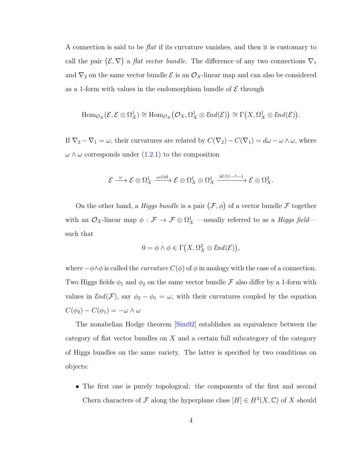A connection is said to be flat if its curvature vanishes, and then it is customary to call the pair  $(\mathcal{E}, \nabla)$  a *flat vector bundle*. The difference of any two connections  $\nabla_1$ and  $\nabla_2$  on the same vector bundle  $\mathcal E$  is an  $\mathcal O_X$ -linear map and can also be considered as a 1-form with values in the endomorphism bundle of  $\mathcal E$  through

$$
\text{Hom}_{\mathcal{O}_X}(\mathcal{E}, \mathcal{E} \otimes \Omega^1_X) \cong \text{Hom}_{\mathcal{O}_X}(\mathcal{O}_X, \Omega^1_X \otimes \mathcal{E}nd(\mathcal{E})) \cong \Gamma(X, \Omega^1_X \otimes \mathcal{E}nd(\mathcal{E})).
$$

If  $\nabla_2 - \nabla_1 = \omega$ , their curvatures are related by  $C(\nabla_2) - C(\nabla_1) = d\omega - \omega \wedge \omega$ , where  $\omega \wedge \omega$  corresponds under  $(1.2.1)$  to the composition

$$
\mathcal{E} \xrightarrow{\omega} \mathcal{E} \otimes \Omega^1_X \xrightarrow{\omega \otimes \mathrm{id}} \mathcal{E} \otimes \Omega^1_X \otimes \Omega^1_X \xrightarrow{\mathrm{id} \otimes (-\wedge -)} \mathcal{E} \otimes \Omega^2_X.
$$

On the other hand, a *Higgs bundle* is a pair  $(\mathcal{F}, \phi)$  of a vector bundle  $\mathcal F$  together with an  $\mathcal{O}_X$ -linear map  $\phi: \mathcal{F} \to \mathcal{F} \otimes \Omega^1_X$  —usually referred to as a Higgs field such that

$$
0 = \phi \land \phi \in \Gamma(X, \Omega_X^2 \otimes \mathcal{E}nd(\mathcal{E})),
$$

where  $-\phi \wedge \phi$  is called the *curvature*  $C(\phi)$  of  $\phi$  in analogy with the case of a connection. Two Higgs fields  $\phi_1$  and  $\phi_2$  on the same vector bundle  $\mathcal F$  also differ by a 1-form with values in  $\mathcal{E}nd(\mathcal{F})$ , say  $\phi_2 - \phi_1 = \omega$ , with their curvatures coupled by the equation  $C(\phi_2) - C(\phi_1) = -\omega \wedge \omega$ 

The nonabelian Hodge theorem [\[Sim92\]](#page-76-0) establishes an equivalence between the category of flat vector bundles on  $X$  and a certain full subcategory of the category of Higgs bundles on the same variety. The latter is specified by two conditions on objects:

• The first one is purely topological: the components of the first and second Chern characters of F along the hyperplane class  $[H] \in H^2(X, \mathbb{C})$  of X should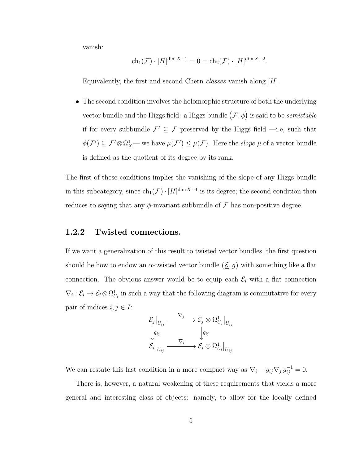vanish:

$$
ch_1(\mathcal{F}) \cdot [H]^{\dim X - 1} = 0 = ch_2(\mathcal{F}) \cdot [H]^{\dim X - 2}.
$$

Equivalently, the first and second Chern *classes* vanish along  $[H]$ .

• The second condition involves the holomorphic structure of both the underlying vector bundle and the Higgs field: a Higgs bundle  $(\mathcal{F}, \phi)$  is said to be *semistable* if for every subbundle  $\mathcal{F}' \subseteq \mathcal{F}$  preserved by the Higgs field —i.e, such that  $\phi(\mathcal{F}') \subseteq \mathcal{F}' \otimes \Omega^1_X$ — we have  $\mu(\mathcal{F}') \leq \mu(\mathcal{F})$ . Here the *slope*  $\mu$  of a vector bundle is defined as the quotient of its degree by its rank.

The first of these conditions implies the vanishing of the slope of any Higgs bundle in this subcategory, since  $ch_1(\mathcal{F}) \cdot [H]^{\dim X - 1}$  is its degree; the second condition then reduces to saying that any  $\phi$ -invariant subbundle of  $\mathcal F$  has non-positive degree.

#### 1.2.2 Twisted connections.

If we want a generalization of this result to twisted vector bundles, the first question should be how to endow an  $\alpha$ -twisted vector bundle  $(\underline{\mathcal{E}}, g)$  with something like a flat connection. The obvious answer would be to equip each  $\mathcal{E}_i$  with a flat connection  $\nabla_i: \mathcal{E}_i \to \mathcal{E}_i \otimes \Omega^1_{U_i}$  in such a way that the following diagram is commutative for every pair of indices  $i, j \in I$ :

$$
\mathcal{E}_j\big|_{U_{ij}} \xrightarrow{\nabla_j} \mathcal{E}_j \otimes \Omega^1_{U_j}\big|_{U_{ij}} \n\bigg\downarrow g_{ij} \qquad \qquad \bigg\downarrow g_{ij} \n\mathcal{E}_i\big|_{U_{ij}} \xrightarrow{\nabla_i} \mathcal{E}_i \otimes \Omega^1_{U_i}\big|_{U_{ij}}
$$

We can restate this last condition in a more compact way as  $\nabla_i - g_{ij} \nabla_j g_{ij}^{-1} = 0$ .

There is, however, a natural weakening of these requirements that yields a more general and interesting class of objects: namely, to allow for the locally defined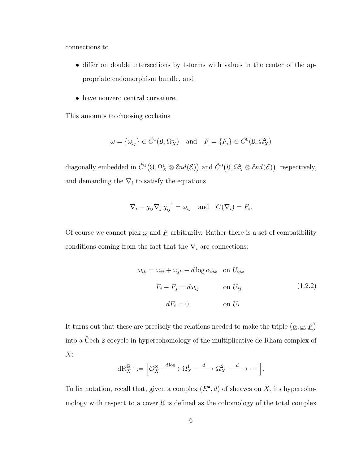connections to

- differ on double intersections by 1-forms with values in the center of the appropriate endomorphism bundle, and
- have nonzero central curvature.

This amounts to choosing cochains

$$
\underline{\omega} = {\omega_{ij}} \in \check{C}^1(\mathfrak{U}, \Omega_X^1) \quad \text{and} \quad \underline{F} = {F_i} \in \check{C}^0(\mathfrak{U}, \Omega_X^2)
$$

diagonally embedded in  $\check{C}^1(\mathfrak{U}, \Omega_X^1 \otimes \mathcal{E}nd(\mathcal{E}))$  and  $\check{C}^0(\mathfrak{U}, \Omega_X^2 \otimes \mathcal{E}nd(\mathcal{E}))$ , respectively, and demanding the  $\nabla_i$  to satisfy the equations

$$
\nabla_i - g_{ij} \nabla_j g_{ij}^{-1} = \omega_{ij} \text{ and } C(\nabla_i) = F_i.
$$

Of course we cannot pick  $\underline{\omega}$  and  $\underline{F}$  arbitrarily. Rather there is a set of compatibility conditions coming from the fact that the  $\nabla_i$  are connections:

<span id="page-12-0"></span>
$$
\omega_{ik} = \omega_{ij} + \omega_{jk} - d \log \alpha_{ijk} \quad \text{on } U_{ijk}
$$

$$
F_i - F_j = d\omega_{ij} \qquad \text{on } U_{ij}
$$

$$
dF_i = 0 \qquad \text{on } U_i
$$

$$
(1.2.2)
$$

It turns out that these are precisely the relations needed to make the triple  $(\alpha, \omega, F)$ into a Čech 2-cocycle in hypercohomology of the multiplicative de Rham complex of  $X$ :

$$
\mathrm{dR}_X^{\mathbb{G}_m} := \left[ \mathcal{O}_X^\times \xrightarrow{d \log} \Omega_X^1 \xrightarrow{d} \Omega_X^2 \xrightarrow{d} \cdots \right].
$$

To fix notation, recall that, given a complex  $(E^{\bullet}, d)$  of sheaves on X, its hypercohomology with respect to a cover  $\mathfrak U$  is defined as the cohomology of the total complex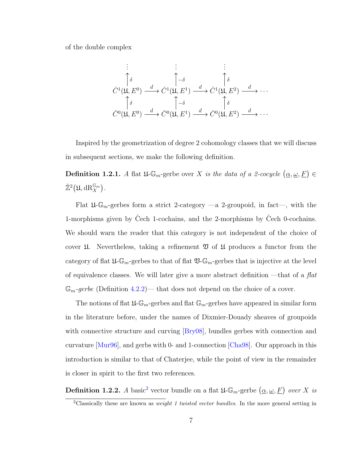of the double complex

$$
\vdots \qquad \vdots \qquad \vdots \qquad \vdots
$$
\n
$$
\tilde{C}^1(\mathfrak{U}, E^0) \xrightarrow{d} \tilde{C}^1(\mathfrak{U}, E^1) \xrightarrow{d} \tilde{C}^1(\mathfrak{U}, E^2) \xrightarrow{d} \cdots
$$
\n
$$
\uparrow \delta \qquad \qquad \uparrow \delta \qquad \qquad \uparrow \delta \qquad \qquad \uparrow \delta \qquad \qquad \downarrow \delta
$$
\n
$$
\tilde{C}^0(\mathfrak{U}, E^0) \xrightarrow{d} \tilde{C}^0(\mathfrak{U}, E^1) \xrightarrow{d} \tilde{C}^0(\mathfrak{U}, E^2) \xrightarrow{d} \cdots
$$

Inspired by the geometrization of degree 2 cohomology classes that we will discuss in subsequent sections, we make the following definition.

<span id="page-13-1"></span>**Definition 1.2.1.** A flat  $\mathfrak{U}\text{-}\mathbb{G}_m$ -gerbe over X is the data of a 2-cocycle  $(\underline{\alpha}, \underline{\omega}, \underline{F}) \in$  $\check{\mathbb{Z}}^2(\mathfrak{U},\mathrm{dR}_X^{\mathbb{G}_m})$ .

Flat  $\mathfrak{U}\text{-}\mathbb{G}_m$ -gerbes form a strict 2-category —a 2-groupoid, in fact—, with the 1-morphisms given by Cech 1-cochains, and the 2-morphisms by Cech 0-cochains. We should warn the reader that this category is not independent of the choice of cover  $\mathfrak U$ . Nevertheless, taking a refinement  $\mathfrak V$  of  $\mathfrak U$  produces a functor from the category of flat  $\mathfrak{U}\text{-}\mathbb{G}_m$ -gerbes to that of flat  $\mathfrak{V}\text{-}\mathbb{G}_m$ -gerbes that is injective at the level of equivalence classes. We will later give a more abstract definition —that of a  $flat$  $\mathbb{G}_m$ -gerbe (Definition [4.2.2\)](#page-42-0)— that does not depend on the choice of a cover.

The notions of flat  $\mathfrak{U}\text{-}\mathbb{G}_m$ -gerbes and flat  $\mathbb{G}_m$ -gerbes have appeared in similar form in the literature before, under the names of Dixmier-Douady sheaves of groupoids with connective structure and curving [\[Bry08\]](#page-73-1), bundles gerbes with connection and curvature [\[Mur96\]](#page-76-1), and gerbs with 0- and 1-connection [\[Cha98\]](#page-73-2). Our approach in this introduction is similar to that of Chaterjee, while the point of view in the remainder is closer in spirit to the first two references.

<span id="page-13-2"></span>**Definition 1.[2](#page-13-0).2.** A basic<sup>2</sup> vector bundle on a flat  $\mathfrak{U}\text{-}\mathbb{G}_m$ -gerbe  $(\underline{\alpha}, \underline{\omega}, \underline{F})$  over X is

<span id="page-13-0"></span><sup>&</sup>lt;sup>2</sup>Classically these are known as *weight 1 twisted vector bundles*. In the more general setting in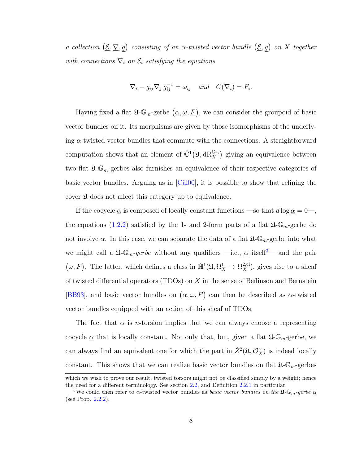a collection  $(\underline{\mathcal{E}}, \nabla, g)$  consisting of an  $\alpha$ -twisted vector bundle  $(\underline{\mathcal{E}}, g)$  on X together with connections  $\nabla_i$  on  $\mathcal{E}_i$  satisfying the equations

$$
\nabla_i - g_{ij} \nabla_j g_{ij}^{-1} = \omega_{ij} \quad and \quad C(\nabla_i) = F_i.
$$

Having fixed a flat  $\mathfrak{U}\text{-}\mathbb{G}_m$ -gerbe  $(\underline{\alpha}, \underline{\omega}, \underline{F})$ , we can consider the groupoid of basic vector bundles on it. Its morphisms are given by those isomorphisms of the underlying  $\alpha$ -twisted vector bundles that commute with the connections. A straightforward computation shows that an element of  $\check{C}^1(\mathfrak{U}, \mathrm{dR}_X^{\mathbb{G}_m})$  giving an equivalence between two flat  $\mathfrak{U}\text{-}\mathbb{G}_m$ -gerbes also furnishes an equivalence of their respective categories of basic vector bundles. Arguing as in  $\lbrack \text{Căl00}\rbrack$ , it is possible to show that refining the cover U does not affect this category up to equivalence.

If the cocycle  $\underline{\alpha}$  is composed of locally constant functions —so that  $d \log \underline{\alpha} = 0$ —, the equations [\(1.2.2\)](#page-12-0) satisfied by the 1- and 2-form parts of a flat  $\mathfrak{U}\text{-}\mathbb{G}_m$ -gerbe do not involve  $\underline{\alpha}$ . In this case, we can separate the data of a flat  $\mathfrak{U}\text{-}\mathbb{G}_m$ -gerbe into what we might call a  $\mathfrak{U}\text{-}\mathbb{G}_m$ -gerbe without any qualifiers —i.e.,  $\underline{\alpha}$  itself<sup>[3](#page-14-0)</sup>— and the pair  $(\underline{\omega}, \underline{F})$ . The latter, which defines a class in  $\mathbb{H}^1(\mathfrak{U}, \Omega^1_X \to \Omega^{2, \text{cl}}_X)$ , gives rise to a sheaf of twisted differential operators (TDOs) on  $X$  in the sense of Beĭlinson and Bernstein [\[BB93\]](#page-72-0), and basic vector bundles on  $(\underline{\alpha}, \underline{\omega}, \underline{F})$  can then be described as  $\alpha$ -twisted vector bundles equipped with an action of this sheaf of TDOs.

The fact that  $\alpha$  is *n*-torsion implies that we can always choose a representing cocycle  $\underline{\alpha}$  that is locally constant. Not only that, but, given a flat  $\mathfrak{U}\text{-}\mathbb{G}_m$ -gerbe, we can always find an equivalent one for which the part in  $\check{Z}^2(\mathfrak{U}, \mathcal{O}_X^{\times})$  is indeed locally constant. This shows that we can realize basic vector bundles on flat  $\mathfrak{U}\text{-}\mathbb{G}_m$ -gerbes

which we wish to prove our result, twisted torsors might not be classified simply by a weight; hence the need for a different terminology. See section [2.2,](#page-22-0) and Definition [2.2.1](#page-25-0) in particular.

<span id="page-14-0"></span><sup>&</sup>lt;sup>3</sup>We could then refer to  $\alpha$ -twisted vector bundles as *basic vector bundles on the*  $\mathfrak{U}\text{-}\mathbb{G}_m$ -gerbe  $\underline{\alpha}$ (see Prop. [2.2.2\)](#page-25-1).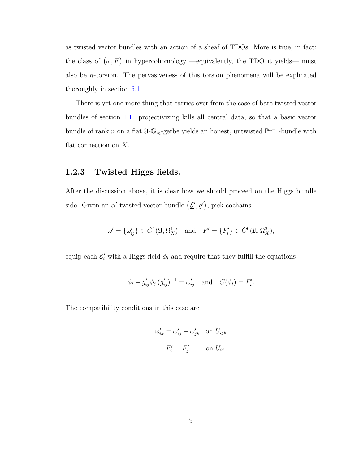as twisted vector bundles with an action of a sheaf of TDOs. More is true, in fact: the class of  $(\underline{\omega}, \underline{F})$  in hypercohomology —equivalently, the TDO it yields— must also be *n*-torsion. The pervasiveness of this torsion phenomena will be explicated thoroughly in section [5.1](#page-50-1)

There is yet one more thing that carries over from the case of bare twisted vector bundles of section [1.1:](#page-7-1) projectivizing kills all central data, so that a basic vector bundle of rank n on a flat  $\mathfrak{U}\text{-}\mathbb{G}_m$ -gerbe yields an honest, untwisted  $\mathbb{P}^{n-1}$ -bundle with flat connection on  $X$ .

### 1.2.3 Twisted Higgs fields.

After the discussion above, it is clear how we should proceed on the Higgs bundle side. Given an  $\alpha'$ -twisted vector bundle  $(\underline{\mathcal{E}}', g')$ , pick cochains

$$
\underline{\omega}' = {\{\omega'_{ij}\}} \in \check{C}^1(\mathfrak{U}, \Omega^1_X) \quad \text{and} \quad \underline{F}' = {\{F'_i\}} \in \check{C}^0(\mathfrak{U}, \Omega^2_X),
$$

equip each  $\mathcal{E}'_i$  with a Higgs field  $\phi_i$  and require that they fulfill the equations

$$
\phi_i - g'_{ij} \phi_j (g'_{ij})^{-1} = \omega'_{ij}
$$
 and  $C(\phi_i) = F'_i$ .

The compatibility conditions in this case are

$$
\omega'_{ik} = \omega'_{ij} + \omega'_{jk} \quad \text{on } U_{ijk}
$$
  

$$
F'_i = F'_j \qquad \text{on } U_{ij}
$$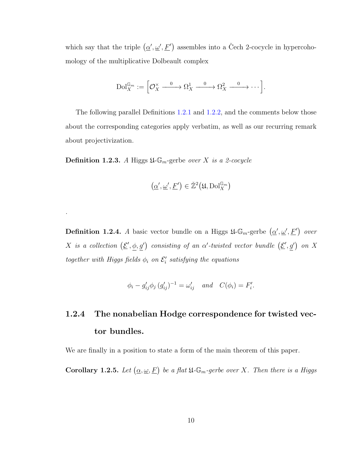which say that the triple  $(\underline{\alpha}', \underline{\omega}', \underline{F}')$  assembles into a Čech 2-cocycle in hypercohomology of the multiplicative Dolbeault complex

$$
\mathrm{Dol}_{X}^{\mathbb{G}_m} := \left[ \mathcal{O}_X^{\times} \xrightarrow{0} \Omega_X^1 \xrightarrow{0} \Omega_X^2 \xrightarrow{0} \cdots \right].
$$

The following parallel Definitions [1.2.1](#page-13-1) and [1.2.2,](#page-13-2) and the comments below those about the corresponding categories apply verbatim, as well as our recurring remark about projectivization.

**Definition 1.2.3.** A Higgs  $\mathfrak{U}\text{-}\mathbb{G}_m$ -gerbe over X is a 2-cocycle

.

$$
\left(\underline{\alpha}',\underline{\omega}',\underline{F}'\right)\in\check{\mathbb{Z}}^2\big(\mathfrak{U},\mathrm{Dol}_X^{\mathbb{G}_m}\big)
$$

**Definition 1.2.4.** A basic vector bundle on a Higgs  $\mathfrak{U}\text{-}\mathbb{G}_m$ -gerbe  $(\underline{\alpha}', \underline{\omega}', \underline{F}')$  over X is a collection  $(\underline{\mathcal{E}}', \phi, g')$  consisting of an  $\alpha'$ -twisted vector bundle  $(\underline{\mathcal{E}}', g')$  on X together with Higgs fields  $\phi_i$  on  $\mathcal{E}'_i$  satisfying the equations

$$
\phi_i - g'_{ij} \phi_j (g'_{ij})^{-1} = \omega'_{ij} \quad and \quad C(\phi_i) = F'_i.
$$

# 1.2.4 The nonabelian Hodge correspondence for twisted vector bundles.

We are finally in a position to state a form of the main theorem of this paper.

**Corollary 1.2.5.** Let  $(\underline{\alpha}, \underline{\omega}, \underline{F})$  be a flat  $\mathfrak{U}$ -G<sub>m</sub>-gerbe over X. Then there is a Higgs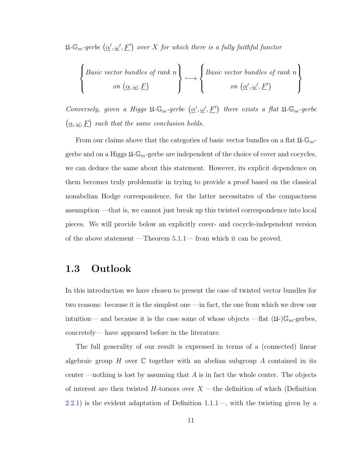$\mathfrak{U}\text{-}\mathbb{G}_m\text{-}gerbe \;(\underline{\alpha}', \underline{\omega}', \underline{F}')\;\;over\;X\;for\;which\;there\;is\;a\;fully\;faithful\;functor$ 

$$
\left\{\begin{array}{c}\text{Basic vector bundles of rank } n \\ \text{on } (\underline{\alpha}, \underline{\omega}, \underline{F})\end{array}\right\} \longleftrightarrow \left\{\begin{array}{c}\text{Basic vector bundles of rank } n \\ \text{on } (\underline{\alpha}', \underline{\omega}', \underline{F}')\end{array}\right\}
$$

Conversely, given a Higgs  $\mathfrak{U}\text{-}\mathbb{G}_m$ -gerbe  $(\underline{\alpha}', \underline{\omega}', \underline{F}')$  there exists a flat  $\mathfrak{U}\text{-}\mathbb{G}_m$ -gerbe  $(\underline{\alpha}, \underline{\omega}, F)$  such that the same conclusion holds.

From our claims above that the categories of basic vector bundles on a flat  $\mathfrak{U}\text{-}\mathbb{G}_m\text{-}$ gerbe and on a Higgs  $\mathfrak{U}\text{-}\mathbb{G}_m$ -gerbe are independent of the choice of cover and cocycles, we can deduce the same about this statement. However, its explicit dependence on them becomes truly problematic in trying to provide a proof based on the classical nonabelian Hodge correspondence, for the latter necessitates of the compactness assumption —that is, we cannot just break up this twisted correspondence into local pieces. We will provide below an explicitly cover- and cocycle-independent version of the above statement —Theorem [5.1.1—](#page-52-0) from which it can be proved.

## <span id="page-17-0"></span>1.3 Outlook

In this introduction we have chosen to present the case of twisted vector bundles for two reasons: because it is the simplest one —in fact, the one from which we drew our intuition— and because it is the case some of whose objects —flat  $(\mathfrak{U})\mathbb{G}_m$ -gerbes, concretely— have appeared before in the literature.

The full generality of our result is expressed in terms of a (connected) linear algebraic group H over  $\mathbb C$  together with an abelian subgroup A contained in its center —nothing is lost by assuming that  $A$  is in fact the whole center. The objects of interest are then twisted  $H$ -torsors over  $X$  —the definition of which (Definition  $(2.2.1)$  $(2.2.1)$  is the evident adaptation of Definition  $1.1.1-$ , with the twisting given by a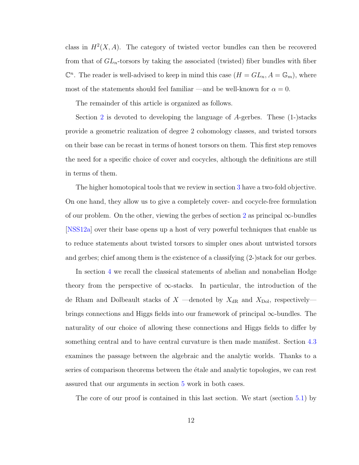class in  $H^2(X, A)$ . The category of twisted vector bundles can then be recovered from that of  $GL_n$ -torsors by taking the associated (twisted) fiber bundles with fiber  $\mathbb{C}^n$ . The reader is well-advised to keep in mind this case  $(H = GL_n, A = \mathbb{G}_m)$ , where most of the statements should feel familiar —and be well-known for  $\alpha = 0$ .

The remainder of this article is organized as follows.

Section [2](#page-20-0) is devoted to developing the language of A-gerbes. These (1-)stacks provide a geometric realization of degree 2 cohomology classes, and twisted torsors on their base can be recast in terms of honest torsors on them. This first step removes the need for a specific choice of cover and cocycles, although the definitions are still in terms of them.

The higher homotopical tools that we review in section [3](#page-27-0) have a two-fold objective. On one hand, they allow us to give a completely cover- and cocycle-free formulation of our problem. On the other, viewing the gerbes of section [2](#page-20-0) as principal  $\infty$ -bundles [\[NSS12a\]](#page-76-2) over their base opens up a host of very powerful techniques that enable us to reduce statements about twisted torsors to simpler ones about untwisted torsors and gerbes; chief among them is the existence of a classifying (2-)stack for our gerbes.

In section [4](#page-34-0) we recall the classical statements of abelian and nonabelian Hodge theory from the perspective of  $\infty$ -stacks. In particular, the introduction of the de Rham and Dolbeault stacks of  $X$  —denoted by  $X_{\text{dR}}$  and  $X_{\text{Dol}}$ , respectively brings connections and Higgs fields into our framework of principal  $\infty$ -bundles. The naturality of our choice of allowing these connections and Higgs fields to differ by something central and to have central curvature is then made manifest. Section [4.3](#page-47-0) examines the passage between the algebraic and the analytic worlds. Thanks to a series of comparison theorems between the etale and analytic topologies, we can rest assured that our arguments in section [5](#page-50-0) work in both cases.

The core of our proof is contained in this last section. We start (section [5.1\)](#page-50-1) by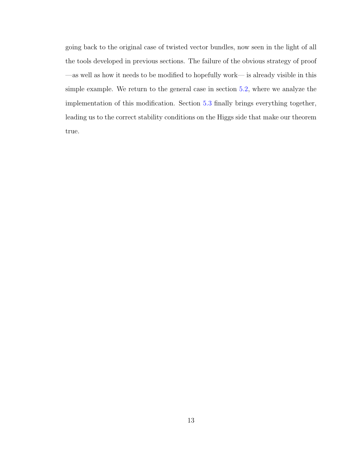going back to the original case of twisted vector bundles, now seen in the light of all the tools developed in previous sections. The failure of the obvious strategy of proof —as well as how it needs to be modified to hopefully work— is already visible in this simple example. We return to the general case in section [5.2,](#page-55-0) where we analyze the implementation of this modification. Section [5.3](#page-66-0) finally brings everything together, leading us to the correct stability conditions on the Higgs side that make our theorem true.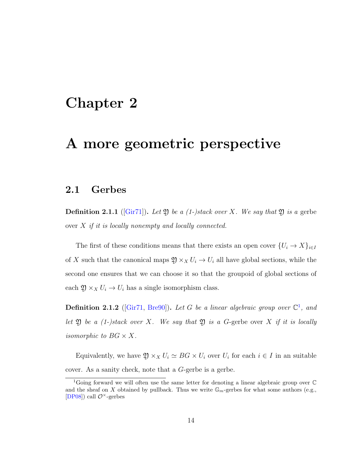# <span id="page-20-0"></span>Chapter 2

# A more geometric perspective

## <span id="page-20-1"></span>2.1 Gerbes

**Definition 2.1.1** ( $\text{Gir71}$ ). Let 2) be a (1-)stack over X. We say that 2) is a gerbe over  $X$  if it is locally nonempty and locally connected.

The first of these conditions means that there exists an open cover  $\{U_i \to X\}_{i \in I}$ of X such that the canonical maps  $\mathfrak{Y} \times_X U_i \to U_i$  all have global sections, while the second one ensures that we can choose it so that the groupoid of global sections of each  $\mathfrak{Y} \times_X U_i \to U_i$  has a single isomorphism class.

**Definition 2.[1](#page-20-2).2** ([\[Gir71,](#page-74-0) [Bre90\]](#page-73-3)). Let G be a linear algebraic group over  $\mathbb{C}^1$ , and let  $\mathfrak Y$  be a (1-)stack over X. We say that  $\mathfrak Y$  is a G-gerbe over X if it is locally isomorphic to  $BG \times X$ .

Equivalently, we have  $\mathfrak{Y} \times_X U_i \simeq BG \times U_i$  over  $U_i$  for each  $i \in I$  in an suitable cover. As a sanity check, note that a G-gerbe is a gerbe.

<span id="page-20-2"></span><sup>&</sup>lt;sup>1</sup>Going forward we will often use the same letter for denoting a linear algebraic group over  $\mathbb C$ and the sheaf on X obtained by pullback. Thus we write  $\mathbb{G}_m$ -gerbes for what some authors (e.g., [\[DP08\]](#page-74-2)) call  $\mathcal{O}^{\times}$ -gerbes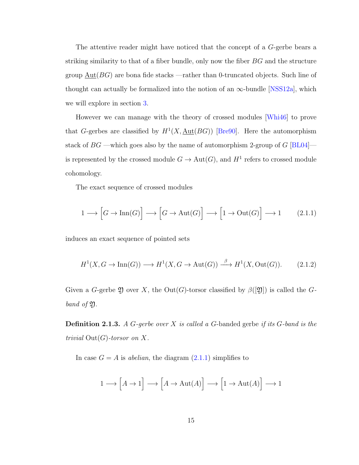The attentive reader might have noticed that the concept of a G-gerbe bears a striking similarity to that of a fiber bundle, only now the fiber BG and the structure group  $\underline{\mathrm{Aut}}(BG)$  are bona fide stacks —rather than 0-truncated objects. Such line of thought can actually be formalized into the notion of an  $\infty$ -bundle [\[NSS12a\]](#page-76-2), which we will explore in section [3.](#page-27-0)

However we can manage with the theory of crossed modules [\[Whi46\]](#page-77-0) to prove that G-gerbes are classified by  $H^1(X, \underline{\text{Aut}}(BG))$  [\[Bre90\]](#page-73-3). Here the automorphism stack of  $BG$  —which goes also by the name of automorphism 2-group of  $G$  [\[BL04\]](#page-72-1)—  $\,$ is represented by the crossed module  $G \to \text{Aut}(G)$ , and  $H^1$  refers to crossed module cohomology.

The exact sequence of crossed modules

<span id="page-21-0"></span>
$$
1 \longrightarrow \left[ G \longrightarrow \text{Inn}(G) \right] \longrightarrow \left[ G \longrightarrow \text{Aut}(G) \right] \longrightarrow \left[ 1 \longrightarrow \text{Out}(G) \right] \longrightarrow 1 \tag{2.1.1}
$$

induces an exact sequence of pointed sets

<span id="page-21-1"></span>
$$
H^1(X, G \to \text{Inn}(G)) \longrightarrow H^1(X, G \to \text{Aut}(G)) \xrightarrow{\beta} H^1(X, \text{Out}(G)).
$$
 (2.1.2)

Given a G-gerbe  $\mathfrak D$  over X, the Out(G)-torsor classified by  $\beta([2])$  is called the Gband of  $\mathfrak{Y}.$ 

<span id="page-21-2"></span>**Definition 2.1.3.** A G-gerbe over X is called a G-banded gerbe if its G-band is the trivial  $Out(G)$ -torsor on X.

In case  $G = A$  is *abelian*, the diagram  $(2.1.1)$  simplifies to

$$
1 \longrightarrow \Big[ A \rightarrow 1 \Big] \longrightarrow \Big[ A \rightarrow \mathrm{Aut}(A) \Big] \longrightarrow \Big[ 1 \rightarrow \mathrm{Aut}(A) \Big] \longrightarrow 1
$$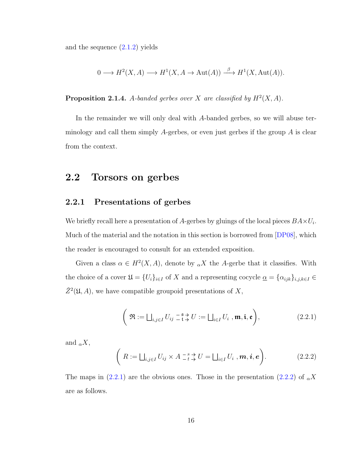and the sequence [\(2.1.2\)](#page-21-1) yields

$$
0 \longrightarrow H^2(X, A) \longrightarrow H^1(X, A \to \text{Aut}(A)) \stackrel{\beta}{\longrightarrow} H^1(X, \text{Aut}(A)).
$$

**Proposition 2.1.4.** A-banded gerbes over X are classified by  $H^2(X, A)$ .

In the remainder we will only deal with A-banded gerbes, so we will abuse terminology and call them simply  $A$ -gerbes, or even just gerbes if the group  $A$  is clear from the context.

## <span id="page-22-0"></span>2.2 Torsors on gerbes

#### <span id="page-22-3"></span>2.2.1 Presentations of gerbes

We briefly recall here a presentation of A-gerbes by gluings of the local pieces  $BA \times U_i$ . Much of the material and the notation in this section is borrowed from  $[DP08]$ , which the reader is encouraged to consult for an extended exposition.

Given a class  $\alpha \in H^2(X, A)$ , denote by  $\alpha X$  the A-gerbe that it classifies. With the choice of a cover  $\mathfrak{U} = \{U_i\}_{i \in I}$  of X and a representing cocycle  $\underline{\alpha} = \{\alpha_{ijk}\}_{i,j,k \in I} \in$  $\check{Z}^2(\mathfrak{U},A)$ , we have compatible groupoid presentations of X,

<span id="page-22-1"></span>
$$
\left(\mathfrak{R}:=\bigsqcup_{i,j\in I}U_{ij}\stackrel{-s}{\_t}\stackrel{\rightarrow}{\to}U:=\bigsqcup_{i\in I}U_i\ ,\mathfrak{m},\mathfrak{i},\mathfrak{e}\right),\tag{2.2.1}
$$

and  $_{\alpha}X$ ,

<span id="page-22-2"></span>
$$
\left(R := \bigsqcup_{i,j \in I} U_{ij} \times A \; \substack{-s \\ \to} \; \mathcal{H}} \; \mathcal{H} = \bigsqcup_{i \in I} U_i \; , \mathbf{m}, \mathbf{i}, \mathbf{e} \right). \tag{2.2.2}
$$

The maps in [\(2.2.1\)](#page-22-1) are the obvious ones. Those in the presentation [\(2.2.2\)](#page-22-2) of  $_{\alpha}X$ are as follows.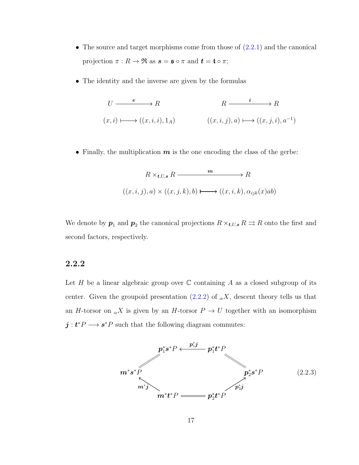- The source and target morphisms come from those of  $(2.2.1)$  and the canonical projection  $\pi : R \to \Re$  as  $s = \mathfrak{s} \circ \pi$  and  $t = \mathfrak{t} \circ \pi$ ;
- The identity and the inverse are given by the formulas

$$
U \xrightarrow{e} R
$$
  
\n
$$
(x, i) \longmapsto ((x, i, i), 1_A)
$$
  
\n
$$
(x, i, j), a) \longmapsto ((x, j, i), a^{-1})
$$

• Finally, the multiplication  $m$  is the one encoding the class of the gerbe:

$$
R \times_{t,U,s} R \xrightarrow{m} R
$$
  

$$
((x,i,j),a) \times ((x,j,k),b) \longmapsto ((x,i,k),\alpha_{ijk}(x)ab)
$$

We denote by  $p_1$  and  $p_2$  the canonical projections  $R \times_{\mathbf{t},U,\mathbf{s}} R \rightrightarrows R$  onto the first and second factors, respectively.

#### 2.2.2

Let H be a linear algebraic group over  $\mathbb C$  containing A as a closed subgroup of its center. Given the groupoid presentation [\(2.2.2\)](#page-22-2) of  $_{\alpha}X$ , descent theory tells us that an H-torsor on  $_{\alpha}X$  is given by an H-torsor  $P \to U$  together with an isomorphism  $j: t^*P \longrightarrow s^*P$  such that the following diagram commutes:

<span id="page-23-0"></span>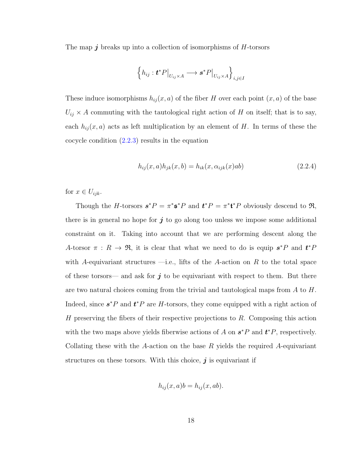The map  $j$  breaks up into a collection of isomorphisms of  $H$ -torsors

$$
\left\{h_{ij}: \mathbf{t}^* P\big|_{U_{ij} \times A} \longrightarrow \mathbf{s}^* P\big|_{U_{ij} \times A}\right\}_{i,j \in I}
$$

These induce isomorphisms  $h_{ij}(x, a)$  of the fiber H over each point  $(x, a)$  of the base  $U_{ij} \times A$  commuting with the tautological right action of H on itself; that is to say, each  $h_{ij}(x, a)$  acts as left multiplication by an element of H. In terms of these the cocycle condition [\(2.2.3\)](#page-23-0) results in the equation

<span id="page-24-0"></span>
$$
h_{ij}(x, a)h_{jk}(x, b) = h_{ik}(x, \alpha_{ijk}(x)ab)
$$
\n(2.2.4)

for  $x \in U_{ijk}$ .

Though the H-torsors  $s^*P = \pi^*s^*P$  and  $t^*P = \pi^*t^*P$  obviously descend to  $\mathfrak{R}$ , there is in general no hope for  $j$  to go along too unless we impose some additional constraint on it. Taking into account that we are performing descent along the A-torsor  $\pi$ :  $R \to \mathfrak{R}$ , it is clear that what we need to do is equip  $s^*P$  and  $t^*P$ with A-equivariant structures  $\rightarrow$  i.e., lifts of the A-action on R to the total space of these torsors— and ask for  $j$  to be equivariant with respect to them. But there are two natural choices coming from the trivial and tautological maps from A to H. Indeed, since  $s^*P$  and  $t^*P$  are H-torsors, they come equipped with a right action of  $H$  preserving the fibers of their respective projections to  $R$ . Composing this action with the two maps above yields fiberwise actions of A on  $s^*P$  and  $t^*P$ , respectively. Collating these with the A-action on the base  $R$  yields the required A-equivariant structures on these torsors. With this choice,  $\boldsymbol{j}$  is equivariant if

$$
h_{ij}(x,a)b = h_{ij}(x,ab).
$$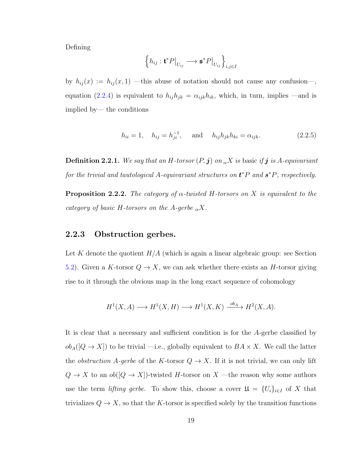Defining

$$
\left\{h_{ij} : \mathbf{t}^* P\big|_{U_{ij}} \longrightarrow \mathbf{s}^* P\big|_{U_{ij}}\right\}_{i,j\in I}
$$

by  $h_{ij}(x) := h_{ij}(x,1)$  —this abuse of notation should not cause any confusion—, equation [\(2.2.4\)](#page-24-0) is equivalent to  $h_{ij}h_{jk} = \alpha_{ijk}h_{ik}$ , which, in turn, implies —and is implied by— the conditions

$$
h_{ii} = 1
$$
,  $h_{ij} = h_{ji}^{-1}$ , and  $h_{ij}h_{jk}h_{ki} = \alpha_{ijk}$ . (2.2.5)

<span id="page-25-0"></span>**Definition 2.2.1.** We say that an H-torsor  $(P, j)$  on  $\alpha X$  is basic if j is A-equivariant for the trivial and tautological A-equivariant structures on  $t^*P$  and  $s^*P$ , respectively.

<span id="page-25-1"></span>**Proposition 2.2.2.** The category of  $\alpha$ -twisted H-torsors on X is equivalent to the category of basic H-torsors on the A-gerbe  $_{\alpha}X$ .

#### <span id="page-25-2"></span>2.2.3 Obstruction gerbes.

Let K denote the quotient  $H/A$  (which is again a linear algebraic group: see Section [5.2\)](#page-55-0). Given a K-torsor  $Q \to X$ , we can ask whether there exists an H-torsor giving rise to it through the obvious map in the long exact sequence of cohomology

$$
H^1(X, A) \longrightarrow H^1(X, H) \longrightarrow H^1(X, K) \xrightarrow{ob_A} H^2(X, A).
$$

It is clear that a necessary and sufficient condition is for the A-gerbe classified by  $ob_A([Q \to X])$  to be trivial —i.e., globally equivalent to  $BA \times X$ . We call the latter the *obstruction* A-gerbe of the K-torsor  $Q \to X$ . If it is not trivial, we can only lift  $Q \to X$  to an  $ob([Q \to X])$ -twisted H-torsor on X —the reason why some authors use the term *lifting gerbe*. To show this, choose a cover  $\mathfrak{U} = \{U_i\}_{i \in I}$  of X that trivializes  $Q \to X$ , so that the K-torsor is specified solely by the transition functions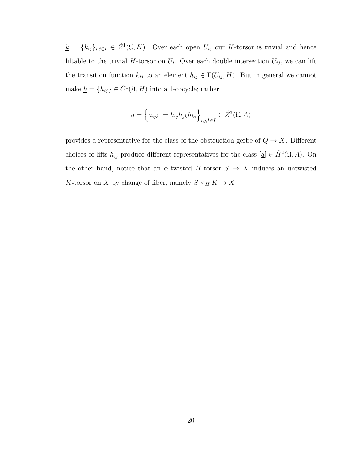$\underline{k} = \{k_{ij}\}_{i,j\in I} \in \check{Z}^1(\mathfrak{U},K)$ . Over each open  $U_i$ , our K-torsor is trivial and hence liftable to the trivial H-torsor on  $U_i$ . Over each double intersection  $U_{ij}$ , we can lift the transition function  $k_{ij}$  to an element  $h_{ij} \in \Gamma(U_{ij}, H)$ . But in general we cannot make  $\underline{h} = \{h_{ij}\} \in \check{C}^1(\mathfrak{U}, H)$  into a 1-cocycle; rather,

$$
\underline{a} = \left\{ a_{ijk} := h_{ij} h_{jk} h_{ki} \right\}_{i,j,k \in I} \in \check{Z}^2(\mathfrak{U}, A)
$$

provides a representative for the class of the obstruction gerbe of  $Q \to X$ . Different choices of lifts  $h_{ij}$  produce different representatives for the class  $[\underline{a}] \in \check{H}^2(\mathfrak{U}, A)$ . On the other hand, notice that an  $\alpha$ -twisted H-torsor  $S \to X$  induces an untwisted  $K\text{-torsor}$  on  $X$  by change of fiber, namely  $S\times_H K\to X.$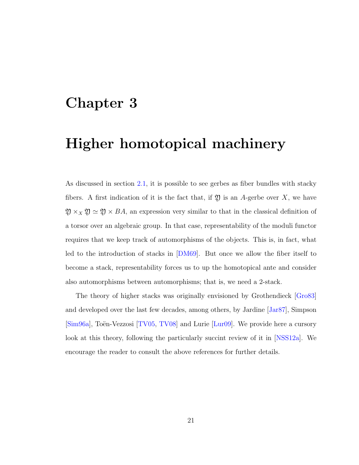# <span id="page-27-0"></span>Chapter 3

# Higher homotopical machinery

As discussed in section [2.1,](#page-20-1) it is possible to see gerbes as fiber bundles with stacky fibers. A first indication of it is the fact that, if  $\mathfrak V$  is an A-gerbe over X, we have  $\mathfrak{Y} \times_X \mathfrak{Y} \simeq \mathfrak{Y} \times BA$ , an expression very similar to that in the classical definition of a torsor over an algebraic group. In that case, representability of the moduli functor requires that we keep track of automorphisms of the objects. This is, in fact, what led to the introduction of stacks in [\[DM69\]](#page-74-3). But once we allow the fiber itself to become a stack, representability forces us to up the homotopical ante and consider also automorphisms between automorphisms; that is, we need a 2-stack.

The theory of higher stacks was originally envisioned by Grothendieck [\[Gro83\]](#page-74-4) and developed over the last few decades, among others, by Jardine [\[Jar87\]](#page-75-1), Simpson [\[Sim96a\]](#page-76-3), Toën-Vezzosi [\[TV05,](#page-77-1) [TV08\]](#page-77-2) and Lurie [\[Lur09\]](#page-75-2). We provide here a cursory look at this theory, following the particularly succint review of it in [\[NSS12a\]](#page-76-2). We encourage the reader to consult the above references for further details.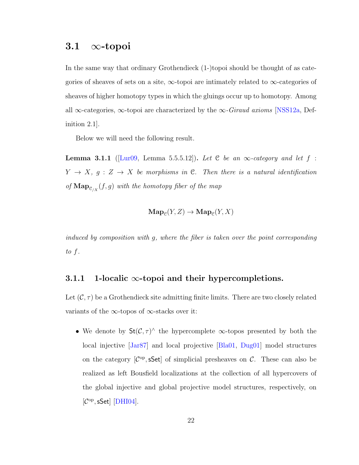## <span id="page-28-0"></span>3.1  $\infty$ -topoi

In the same way that ordinary Grothendieck (1-)topoi should be thought of as categories of sheaves of sets on a site,  $\infty$ -topoi are intimately related to  $\infty$ -categories of sheaves of higher homotopy types in which the gluings occur up to homotopy. Among all  $\infty$ -categories,  $\infty$ -topoi are characterized by the  $\infty$ -*Giraud axioms* [\[NSS12a,](#page-76-2) Definition 2.1].

Below we will need the following result.

<span id="page-28-1"></span>**Lemma 3.1.1** ([\[Lur09,](#page-75-2) Lemma 5.5.5.12]). Let C be an  $\infty$ -category and let f:  $Y \rightarrow X$ ,  $g: Z \rightarrow X$  be morphisms in C. Then there is a natural identification of  $\mathbf{Map}_{\mathcal{C}/X}(f,g)$  with the homotopy fiber of the map

$$
\mathbf{Map}_{\mathcal{C}}(Y,Z) \to \mathbf{Map}_{\mathcal{C}}(Y,X)
$$

induced by composition with g, where the fiber is taken over the point corresponding to f.

#### 3.1.1 1-localic  $\infty$ -topoi and their hypercompletions.

Let  $(C, \tau)$  be a Grothendieck site admitting finite limits. There are two closely related variants of the  $\infty$ -topos of  $\infty$ -stacks over it:

• We denote by  $St(\mathcal{C}, \tau)$ <sup> $\wedge$ </sup> the hypercomplete  $\infty$ -topos presented by both the local injective [\[Jar87\]](#page-75-1) and local projective [\[Bla01,](#page-73-4) [Dug01\]](#page-74-5) model structures on the category  $[\mathcal{C}^{op}, sSet]$  of simplicial presheaves on C. These can also be realized as left Bousfield localizations at the collection of all hypercovers of the global injective and global projective model structures, respectively, on  $[\mathcal{C}^{op}, sSet]$  [\[DHI04\]](#page-74-6).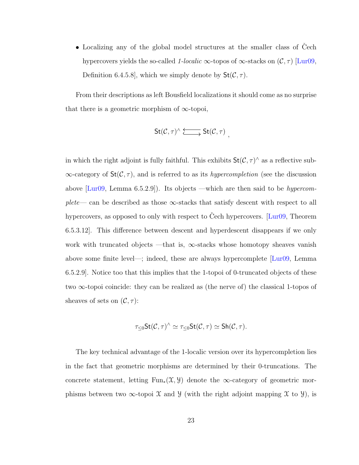• Localizing any of the global model structures at the smaller class of Cech hypercovers yields the so-called 1-localic  $\infty$ -topos of  $\infty$ -stacks on  $(C, \tau)$  [\[Lur09,](#page-75-2) Definition 6.4.5.8, which we simply denote by  $St(\mathcal{C}, \tau)$ .

From their descriptions as left Bousfield localizations it should come as no surprise that there is a geometric morphism of  $\infty$ -topoi,

$$
\mathsf{St}(\mathcal{C},\tau)^\wedge\xrightarrow{\longleftarrow} \mathsf{St}(\mathcal{C},\tau) ,
$$

in which the right adjoint is fully faithful. This exhibits  $St(\mathcal{C}, \tau)^\wedge$  as a reflective sub- $\infty$ -category of  $St(\mathcal{C}, \tau)$ , and is referred to as its *hypercompletion* (see the discussion above [\[Lur09,](#page-75-2) Lemma 6.5.2.9]). Its objects —which are then said to be hypercomplete— can be described as those  $\infty$ -stacks that satisfy descent with respect to all hypercovers, as opposed to only with respect to Cech hypercovers. [[Lur09,](#page-75-2) Theorem] 6.5.3.12]. This difference between descent and hyperdescent disappears if we only work with truncated objects —that is,  $\infty$ -stacks whose homotopy sheaves vanish above some finite level—; indeed, these are always hypercomplete [\[Lur09,](#page-75-2) Lemma 6.5.2.9]. Notice too that this implies that the 1-topoi of 0-truncated objects of these two ∞-topoi coincide: they can be realized as (the nerve of) the classical 1-topos of sheaves of sets on  $(C, \tau)$ :

$$
\tau_{\leq 0} \operatorname{St}(\mathcal{C}, \tau)^\wedge \simeq \tau_{\leq 0} \operatorname{St}(\mathcal{C}, \tau) \simeq \operatorname{Sh}(\mathcal{C}, \tau).
$$

The key technical advantage of the 1-localic version over its hypercompletion lies in the fact that geometric morphisms are determined by their 0-truncations. The concrete statement, letting Fun<sub>∗</sub> $(\mathfrak{X}, \mathfrak{Y})$  denote the  $\infty$ -category of geometric morphisms between two  $\infty$ -topoi X and Y (with the right adjoint mapping X to Y), is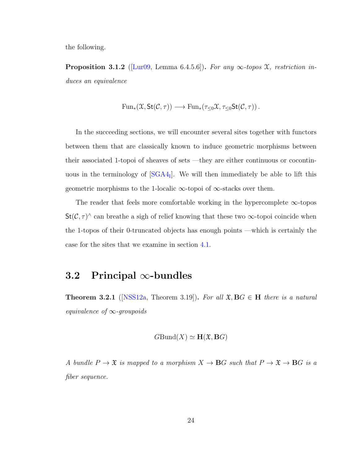the following.

<span id="page-30-2"></span>**Proposition 3.1.2** ([\[Lur09,](#page-75-2) Lemma 6.4.5.6]). For any  $\infty$ -topos  $\mathfrak{X}$ , restriction induces an equivalence

$$
\mathrm{Fun}_*(\mathfrak{X}, \mathsf{St}(\mathcal{C}, \tau)) \longrightarrow \mathrm{Fun}_*(\tau_{\leq 0}\mathfrak{X}, \tau_{\leq 0}\mathsf{St}(\mathcal{C}, \tau))\,.
$$

In the succeeding sections, we will encounter several sites together with functors between them that are classically known to induce geometric morphisms between their associated 1-topoi of sheaves of sets —they are either continuous or cocontinuous in the terminology of  $[SGA4_I]$ . We will then immediately be able to lift this geometric morphisms to the 1-localic  $\infty$ -topoi of  $\infty$ -stacks over them.

The reader that feels more comfortable working in the hypercomplete  $\infty$ -topos  $St(\mathcal{C}, \tau)$ <sup> $\wedge$ </sup> can breathe a sigh of relief knowing that these two  $\infty$ -topoi coincide when the 1-topos of their 0-truncated objects has enough points —which is certainly the case for the sites that we examine in section [4.1.](#page-34-1)

## <span id="page-30-0"></span>3.2 Principal ∞-bundles

<span id="page-30-1"></span>**Theorem 3.2.1** ([\[NSS12a,](#page-76-2) Theorem 3.19]). For all  $\mathfrak{X}, BG \in H$  there is a natural equivalence of  $\infty$ -groupoids

$$
GBund(X) \simeq \mathbf{H}(\mathfrak{X},\mathbf{B}G)
$$

A bundle  $P \to \mathfrak{X}$  is mapped to a morphism  $X \to BG$  such that  $P \to \mathfrak{X} \to BG$  is a fiber sequence.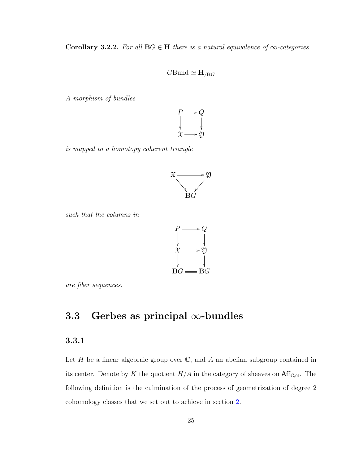Corollary 3.2.2. For all  $BG \in H$  there is a natural equivalence of  $\infty$ -categories

#### $G$ Bund  $\simeq$   $H_{/BG}$

A morphism of bundles



is mapped to a homotopy coherent triangle



such that the columns in



are fiber sequences.

# <span id="page-31-0"></span>3.3 Gerbes as principal  $\infty$ -bundles

## 3.3.1

Let  $H$  be a linear algebraic group over  $\mathbb{C}$ , and  $A$  an abelian subgroup contained in its center. Denote by K the quotient  $H/A$  in the category of sheaves on  $\mathsf{Aff}_{\mathbb{C},\text{\'et}}$ . The following definition is the culmination of the process of geometrization of degree 2 cohomology classes that we set out to achieve in section [2.](#page-20-0)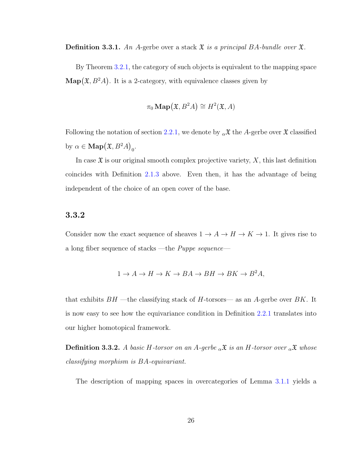**Definition 3.3.1.** An A-gerbe over a stack  $\mathfrak{X}$  is a principal BA-bundle over  $\mathfrak{X}$ .

By Theorem [3.2.1,](#page-30-1) the category of such objects is equivalent to the mapping space  $\text{Map}(\mathfrak{X}, B^2A)$ . It is a 2-category, with equivalence classes given by

$$
\pi_0 \operatorname{Map}(\mathfrak{X}, B^2 A) \cong H^2(\mathfrak{X}, A)
$$

Following the notation of section [2.2.1,](#page-22-3) we denote by  $\alpha \mathfrak{X}$  the A-gerbe over  $\mathfrak{X}$  classified by  $\alpha \in \mathbf{Map}(\mathfrak{X}, B^2A)_0.$ 

In case  $\mathfrak X$  is our original smooth complex projective variety,  $X$ , this last definition coincides with Definition [2.1.3](#page-21-2) above. Even then, it has the advantage of being independent of the choice of an open cover of the base.

#### 3.3.2

Consider now the exact sequence of sheaves  $1 \to A \to H \to K \to 1$ . It gives rise to a long fiber sequence of stacks —the Puppe sequence—

$$
1 \to A \to H \to K \to BA \to BH \to BK \to B^2A,
$$

that exhibits  $BH$  —the classifying stack of H-torsors— as an A-gerbe over BK. It is now easy to see how the equivariance condition in Definition [2.2.1](#page-25-0) translates into our higher homotopical framework.

**Definition 3.3.2.** A basic H-torsor on an A-gerbe  $_{\alpha} \mathfrak{X}$  is an H-torsor over  $_{\alpha} \mathfrak{X}$  whose classifying morphism is BA-equivariant.

The description of mapping spaces in overcategories of Lemma [3.1.1](#page-28-1) yields a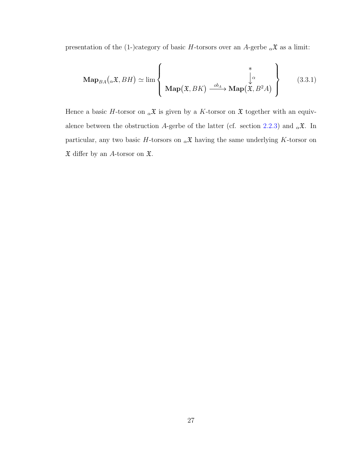presentation of the (1-)category of basic H-torsors over an A-gerbe  ${}_{\alpha} \mathfrak{X}$  as a limit:

$$
\mathbf{Map}_{BA}(\alpha \mathfrak{X}, BH) \simeq \lim_{\alpha \to 0} \left\{ \begin{array}{c} \mathfrak{X} \\ \downarrow^{\alpha} \\ \mathbf{Map}(\mathfrak{X}, BK) \xrightarrow{ob_A} \mathbf{Map}(\mathfrak{X}, B^2A) \end{array} \right\} \tag{3.3.1}
$$

Hence a basic H-torsor on  $_{\alpha} \mathfrak{X}$  is given by a K-torsor on  $\mathfrak{X}$  together with an equiv-alence between the obstruction A-gerbe of the latter (cf. section [2.2.3\)](#page-25-2) and  $_{\alpha} \mathfrak{X}$ . In particular, any two basic H-torsors on  $_{\alpha} \mathfrak{X}$  having the same underlying K-torsor on  $\mathfrak X$  differ by an A-torsor on  $\mathfrak X.$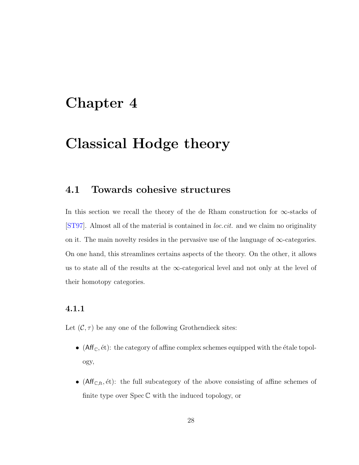# <span id="page-34-0"></span>Chapter 4

# Classical Hodge theory

## <span id="page-34-1"></span>4.1 Towards cohesive structures

In this section we recall the theory of the de Rham construction for  $\infty$ -stacks of [\[ST97\]](#page-77-3). Almost all of the material is contained in loc.cit. and we claim no originality on it. The main novelty resides in the pervasive use of the language of  $\infty$ -categories. On one hand, this streamlines certains aspects of the theory. On the other, it allows us to state all of the results at the  $\infty$ -categorical level and not only at the level of their homotopy categories.

#### 4.1.1

Let  $(C, \tau)$  be any one of the following Grothendieck sites:

- (Aff<sub>C</sub>,  $\acute{e}t$ ): the category of affine complex schemes equipped with the  $\acute{e}t$  ale topology,
- ( $Aff_{\mathbb{C},\text{ft}}$ ,  $\text{\'et}$ ): the full subcategory of the above consisting of affine schemes of finite type over  $Spec \mathbb{C}$  with the induced topology, or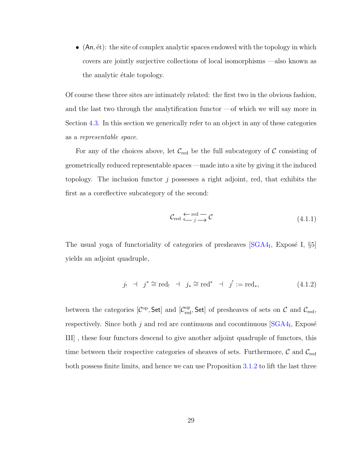• (An,  $\acute{e}t$ ): the site of complex analytic spaces endowed with the topology in which covers are jointly surjective collections of local isomorphisms —also known as the analytic étale topology.

Of course these three sites are intimately related: the first two in the obvious fashion, and the last two through the analytification functor —of which we will say more in Section [4.3.](#page-47-0) In this section we generically refer to an object in any of these categories as a representable space.

For any of the choices above, let  $\mathcal{C}_{red}$  be the full subcategory of  $\mathcal C$  consisting of geometrically reduced representable spaces —made into a site by giving it the induced topology. The inclusion functor j possesses a right adjoint, red, that exhibits the first as a coreflective subcategory of the second:

$$
\mathcal{C}_{\text{red}} \xleftarrow{\text{red}} \mathcal{C} \tag{4.1.1}
$$

The usual yoga of functoriality of categories of presheaves  $[SGA4<sub>I</sub>, Exposé I, §5]$ yields an adjoint quadruple,

$$
j_! \quad \vdash \quad j^* \cong \text{red}_! \quad \vdash \quad j_* \cong \text{red}^* \quad \vdash \quad j^! := \text{red}_*, \tag{4.1.2}
$$

between the categories  $[\mathcal{C}^{\rm op}, \mathsf{Set}]$  and  $[\mathcal{C}^{\rm op}_{\rm red}, \mathsf{Set}]$  of presheaves of sets on  $\mathcal C$  and  $\mathcal{C}_{\rm red}$ , respectively. Since both  $j$  and red are continuous and cocontinuous  $[SGA4<sub>I</sub>, Expos\acute{e}$ III] , these four functors descend to give another adjoint quadruple of functors, this time between their respective categories of sheaves of sets. Furthermore,  $\mathcal{C}$  and  $\mathcal{C}_{\text{red}}$ both possess finite limits, and hence we can use Proposition [3.1.2](#page-30-2) to lift the last three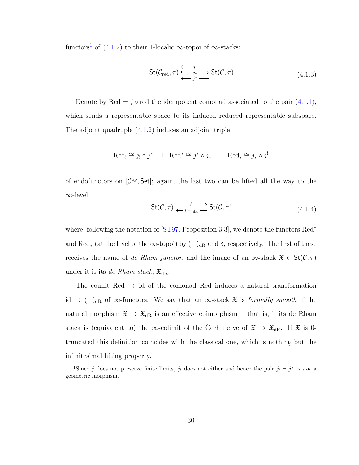functors<sup>[1](#page-36-0)</sup> of [\(4.1.2\)](#page-35-0) to their 1-localic  $\infty$ -topoi of  $\infty$ -stacks:

<span id="page-36-1"></span>
$$
St(\mathcal{C}_{\text{red}}, \tau) \xleftarrow{\longleftrightarrow} j^! \longrightarrow f(t(\mathcal{C}, \tau) \tag{4.1.3}
$$

Denote by Red =  $j \circ$  red the idempotent comonad associated to the pair [\(4.1.1\)](#page-35-1), which sends a representable space to its induced reduced representable subspace. The adjoint quadruple [\(4.1.2\)](#page-35-0) induces an adjoint triple

$$
\text{Red}_! \cong j_! \circ j^* \quad \text{H} \quad \text{Red}^* \cong j^* \circ j_* \quad \text{H} \quad \text{Red}_* \cong j_* \circ j^!
$$

of endofunctors on  $[\mathcal{C}^{op}, \mathsf{Set}]$ ; again, the last two can be lifted all the way to the ∞-level:

<span id="page-36-2"></span>
$$
\mathsf{St}(\mathcal{C},\tau) \xrightarrow{\delta} \mathsf{St}(\mathcal{C},\tau) \tag{4.1.4}
$$

where, following the notation of [\[ST97,](#page-77-0) Proposition 3.3], we denote the functors Red<sup>∗</sup> and Red<sub>∗</sub> (at the level of the ∞-topoi) by  $(-)_{\text{dR}}$  and  $\delta$ , respectively. The first of these receives the name of de Rham functor, and the image of an  $\infty$ -stack  $\mathfrak{X} \in \mathsf{St}(\mathcal{C}, \tau)$ under it is its *de Rham stack*,  $\mathfrak{X}_{dR}$ .

The counit Red  $\rightarrow$  id of the comonad Red induces a natural transformation id  $\rightarrow$  (−)<sub>dR</sub> of  $\infty$ -functors. We say that an  $\infty$ -stack  $\mathfrak X$  is *formally smooth* if the natural morphism  $\mathfrak{X} \to \mathfrak{X}_{dR}$  is an effective epimorphism —that is, if its de Rham stack is (equivalent to) the  $\infty$ -colimit of the Cech nerve of  $\mathfrak{X} \to \mathfrak{X}_{dR}$ . If  $\mathfrak{X}$  is 0truncated this definition coincides with the classical one, which is nothing but the infinitesimal lifting property.

<span id="page-36-0"></span><sup>&</sup>lt;sup>1</sup>Since j does not preserve finite limits, j<sub>!</sub> does not either and hence the pair j<sub>!</sub>  $\exists j^*$  is not a geometric morphism.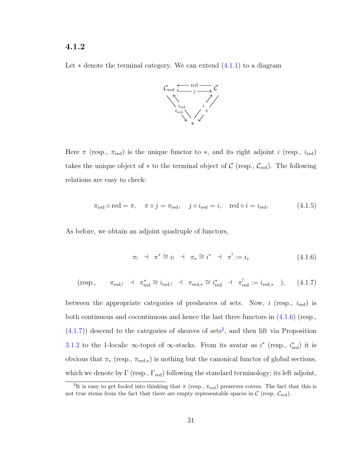#### 4.1.2

Let  $*$  denote the terminal category. We can extend  $(4.1.1)$  to a diagram



Here  $\pi$  (resp.,  $\pi_{\text{red}}$ ) is the unique functor to  $*$ , and its right adjoint i (resp.,  $i_{\text{red}}$ ) takes the unique object of  $*$  to the terminal object of  $\mathcal{C}$  (resp.,  $\mathcal{C}_{red}$ ). The following relations are easy to check:

<span id="page-37-3"></span>
$$
\pi_{\text{red}} \circ \text{red} = \pi, \quad \pi \circ j = \pi_{\text{red}}, \quad j \circ i_{\text{red}} = i, \quad \text{red} \circ i = i_{\text{red}}.
$$
\n(4.1.5)

As before, we obtain an adjoint quadruple of functors,

<span id="page-37-0"></span>
$$
\pi_! \quad \pi^* \cong i_! \quad \pi_* \cong i^* \quad \pi_! := i_* \tag{4.1.6}
$$

<span id="page-37-1"></span>
$$
(\text{resp.,} \qquad \pi_{\text{red},!} \quad \dashv \quad \pi_{\text{red}}^* \cong i_{\text{red},!} \quad \dashv \quad \pi_{\text{red},*} \cong i_{\text{red}}^* \quad \dashv \quad \pi_{\text{red}}^! := i_{\text{red},*} \quad ), \qquad (4.1.7)
$$

between the appropriate categories of presheaves of sets. Now,  $i$  (resp.,  $i_{\text{red}}$ ) is both continuous and cocontinuous and hence the last three functors in [\(4.1.6\)](#page-37-0) (resp.,  $(4.1.7)$  descend to the categories of sheaves of sets<sup>[2](#page-37-2)</sup>, and then lift via Proposition [3.1.2](#page-30-0) to the 1-localic  $\infty$ -topoi of  $\infty$ -stacks. From its avatar as  $i^*$  (resp.,  $i^*_{\text{red}}$ ) it is obvious that  $\pi_*$  (resp.,  $\pi_{\text{red},*}$ ) is nothing but the canonical functor of global sections, which we denote by  $\Gamma$  (resp.,  $\Gamma_{\text{red}}$ ) following the standard terminology; its left adjoint,

<span id="page-37-2"></span><sup>&</sup>lt;sup>2</sup>It is easy to get fooled into thinking that  $\pi$  (resp.,  $\pi_{red}$ ) preserves covers. The fact that this is not true stems from the fact that there are empty representable spaces in  $\mathcal{C}$  (resp.  $\mathcal{C}_{\text{red}}$ ).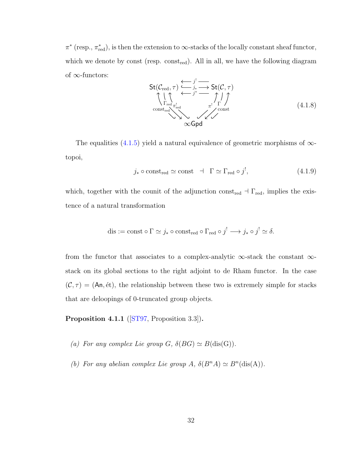$\pi^*$  (resp.,  $\pi^*_{\text{red}}$ ), is then the extension to  $\infty$ -stacks of the locally constant sheaf functor, which we denote by const (resp. const<sub>red</sub>). All in all, we have the following diagram of  $\infty$ -functors:

$$
\mathsf{St}(\mathcal{C}_{\text{red}}, \tau) \xrightarrow{\longleftarrow j^{!}} \overbrace{\hspace{1.5cm}}^{\text{1}} \xrightarrow{\hspace{1.5cm}} \mathsf{St}(\mathcal{C}, \tau) \uparrow \atop \text{const}_{\text{red}} \overbrace{\hspace{1.5cm}}^{\text{1}^{!}} \xrightarrow{\hspace{1.5cm}} \uparrow \uparrow \atop \uparrow \atop \text{const}}^{\text{1}^{!}} \tag{4.1.8}
$$

The equalities  $(4.1.5)$  yield a natural equivalence of geometric morphisms of  $\infty$ topoi,

<span id="page-38-0"></span>
$$
j_* \circ \text{const}_{\text{red}} \simeq \text{const} \quad \vdash \quad \Gamma \simeq \Gamma_{\text{red}} \circ j^!, \tag{4.1.9}
$$

which, together with the counit of the adjunction const<sub>red</sub>  $\exists \Gamma_{\text{red}}$ , implies the existence of a natural transformation

dis := const 
$$
\circ \Gamma \simeq j_* \circ const_{\text{red}} \circ \Gamma_{\text{red}} \circ j^! \longrightarrow j_* \circ j^! \simeq \delta
$$
.

from the functor that associates to a complex-analytic  $\infty$ -stack the constant  $\infty$ stack on its global sections to the right adjoint to de Rham functor. In the case  $(C, \tau) = (An, \text{\'et})$ , the relationship between these two is extremely simple for stacks that are deloopings of 0-truncated group objects.

<span id="page-38-1"></span>Proposition 4.1.1 ([\[ST97,](#page-77-0) Proposition 3.3]).

- (a) For any complex Lie group G,  $\delta(BG) \simeq B(\text{dis}(G)).$
- (b) For any abelian complex Lie group A,  $\delta(B^n A) \simeq B^n(\text{dis}(A)).$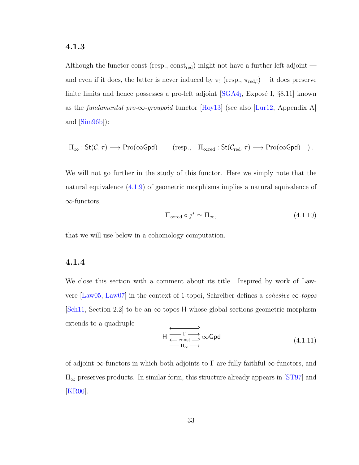### 4.1.3

Although the functor const (resp.,  $const_{\text{red}}$ ) might not have a further left adjoint and even if it does, the latter is never induced by  $\pi_!$  (resp.,  $\pi_{\text{red},!}$ )— it does preserve finite limits and hence possesses a pro-left adjoint  $[SGA4<sub>I</sub>, Exposé I, §8.11]$  known as the *fundamental pro-* $\infty$ -groupoid functor [\[Hoy13\]](#page-75-0) (see also [\[Lur12,](#page-75-1) Appendix A] and  $[\text{Sim96b}]$ :

$$
\Pi_\infty : \mathsf{St}(\mathcal{C},\tau) \longrightarrow \mathrm{Pro}(\infty \mathsf{Gpd}) \qquad (\text{resp.,}\quad \Pi_{\infty \mathrm{red}} : \mathsf{St}(\mathcal{C}_{\mathrm{red}},\tau) \longrightarrow \mathrm{Pro}(\infty \mathsf{Gpd}) \quad)\,.
$$

We will not go further in the study of this functor. Here we simply note that the natural equivalence [\(4.1.9\)](#page-38-0) of geometric morphisms implies a natural equivalence of ∞-functors,

<span id="page-39-0"></span>
$$
\Pi_{\infty \text{red}} \circ j^* \simeq \Pi_{\infty},\tag{4.1.10}
$$

that we will use below in a cohomology computation.

### 4.1.4

We close this section with a comment about its title. Inspired by work of Law-vere [\[Law05,](#page-75-2) [Law07\]](#page-75-3) in the context of 1-topoi, Schreiber defines a *cohesive*  $\infty$ -topos  $[\text{Sch11}, \text{Section 2.2}]$  to be an  $\infty$ -topos H whose global sections geometric morphism extends to a quadruple

$$
\begin{array}{c}\n\longleftarrow & \overrightarrow{\Gamma} \longrightarrow \\
\longleftarrow & \overrightarrow{\operatorname{const}} \longrightarrow \infty \text{Gpd} \\
\longleftarrow & \Pi_{\infty} \longrightarrow\n\end{array} \tag{4.1.11}
$$

of adjoint  $\infty$ -functors in which both adjoints to  $\Gamma$  are fully faithful  $\infty$ -functors, and  $\Pi_{\infty}$  preserves products. In similar form, this structure already appears in [\[ST97\]](#page-77-0) and [\[KR00\]](#page-75-4).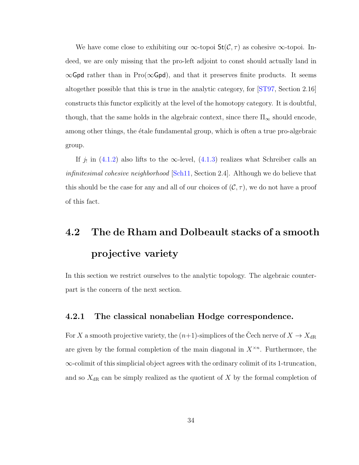We have come close to exhibiting our  $\infty$ -topoi  $St(\mathcal{C}, \tau)$  as cohesive  $\infty$ -topoi. Indeed, we are only missing that the pro-left adjoint to const should actually land in  $\infty$ Gpd rather than in Pro( $\infty$ Gpd), and that it preserves finite products. It seems altogether possible that this is true in the analytic category, for [\[ST97,](#page-77-0) Section 2.16] constructs this functor explicitly at the level of the homotopy category. It is doubtful, though, that the same holds in the algebraic context, since there  $\Pi_{\infty}$  should encode, among other things, the étale fundamental group, which is often a true pro-algebraic group.

If  $j_!$  in [\(4.1.2\)](#page-35-0) also lifts to the  $\infty$ -level, [\(4.1.3\)](#page-36-1) realizes what Schreiber calls an infinitesimal cohesive neighborhood [\[Sch11,](#page-76-1) Section 2.4]. Although we do believe that this should be the case for any and all of our choices of  $(C, \tau)$ , we do not have a proof of this fact.

# <span id="page-40-0"></span>4.2 The de Rham and Dolbeault stacks of a smooth projective variety

In this section we restrict ourselves to the analytic topology. The algebraic counterpart is the concern of the next section.

### <span id="page-40-1"></span>4.2.1 The classical nonabelian Hodge correspondence.

For X a smooth projective variety, the  $(n+1)$ -simplices of the Cech nerve of  $X \to X_{\text{dR}}$ are given by the formal completion of the main diagonal in  $X^{\times n}$ . Furthermore, the ∞-colimit of this simplicial object agrees with the ordinary colimit of its 1-truncation, and so  $X_{\text{dR}}$  can be simply realized as the quotient of X by the formal completion of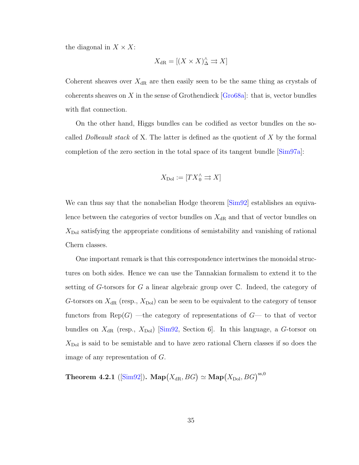the diagonal in  $X \times X$ :

$$
X_{\mathrm{dR}} = [(X \times X)^\wedge_{\Delta} \rightrightarrows X]
$$

Coherent sheaves over  $X_{\text{dR}}$  are then easily seen to be the same thing as crystals of coherents sheaves on X in the sense of Grothendieck  $[Gro68a]$ : that is, vector bundles with flat connection.

On the other hand, Higgs bundles can be codified as vector bundles on the socalled *Dolbeault stack* of X. The latter is defined as the quotient of  $X$  by the formal completion of the zero section in the total space of its tangent bundle [\[Sim97a\]](#page-77-1):

$$
X_{\text{Dol}} := [TX_0^{\wedge} \rightrightarrows X]
$$

We can thus say that the nonabelian Hodge theorem  $[\text{Sim}92]$  establishes an equivalence between the categories of vector bundles on  $X_{\rm dR}$  and that of vector bundles on  $X_{\text{Dol}}$  satisfying the appropriate conditions of semistability and vanishing of rational Chern classes.

One important remark is that this correspondence intertwines the monoidal structures on both sides. Hence we can use the Tannakian formalism to extend it to the setting of G-torsors for G a linear algebraic group over  $\mathbb C$ . Indeed, the category of G-torsors on  $X_{\text{dR}}$  (resp.,  $X_{\text{Dol}}$ ) can be seen to be equivalent to the category of tensor functors from  $\text{Rep}(G)$  —the category of representations of  $G$ — to that of vector bundles on  $X_{\text{dR}}$  (resp.,  $X_{\text{Dol}}$ ) [\[Sim92,](#page-76-2) Section 6]. In this language, a G-torsor on  $X_{\text{Dol}}$  is said to be semistable and to have zero rational Chern classes if so does the image of any representation of G.

<span id="page-41-0"></span>Theorem 4.2.1 ( $[\mathrm{Sim92}]$ ).  $\mathbf{Map}(X_{\mathrm{dR}}, BG) \simeq \mathbf{Map}(X_{\mathrm{Dol}}, BG)^{\mathrm{ss},0}$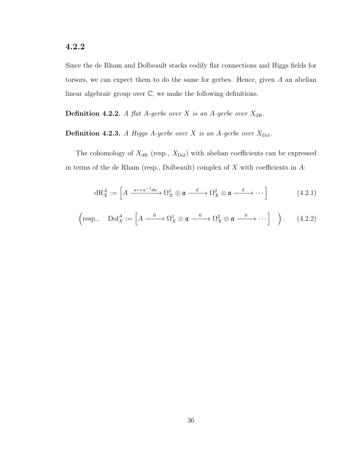### <span id="page-42-2"></span>4.2.2

Since the de Rham and Dolbeault stacks codify flat connections and Higgs fields for torsors, we can expect them to do the same for gerbes. Hence, given A an abelian linear algebraic group over C, we make the following definitions.

<span id="page-42-0"></span>**Definition 4.2.2.** A flat A-gerbe over X is an A-gerbe over  $X_{\text{dR}}$ .

### <span id="page-42-1"></span>**Definition 4.2.3.** A Higgs A-gerbe over X is an A-gerbe over  $X_{\text{Dol}}$ .

The cohomology of  $X_{\text{dR}}$  (resp.,  $X_{\text{Dol}}$ ) with abelian coefficients can be expressed in terms of the de Rham (resp., Dolbeault) complex of  $X$  with coefficients in  $A$ :

$$
dR_X^A := \left[ A \xrightarrow{a \mapsto a^{-1}da} \Omega_X^1 \otimes \mathfrak{a} \xrightarrow{d} \Omega_X^2 \otimes \mathfrak{a} \xrightarrow{d} \cdots \right] \tag{4.2.1}
$$

$$
\left(\text{resp.,}\quad \text{Dol}_X^A := \left[A \xrightarrow{0} \Omega_X^1 \otimes \mathfrak{a} \xrightarrow{0} \Omega_X^2 \otimes \mathfrak{a} \xrightarrow{0} \cdots \right] \right). \tag{4.2.2}
$$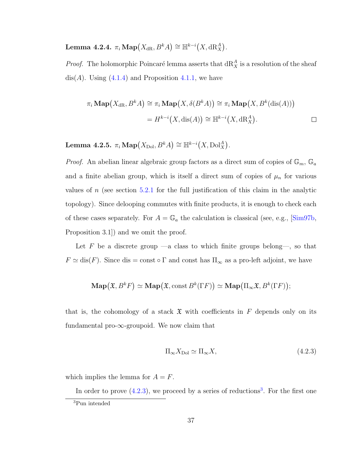Lemma 4.2.4.  $\pi_i \operatorname{Map}(X_{\mathrm{dR}},B^k A) \cong \mathbb{H}^{k-i}(X,\mathrm{dR}_X^A)$ .

*Proof.* The holomorphic Poincaré lemma asserts that  $dR_X^A$  is a resolution of the sheaf dis(A). Using  $(4.1.4)$  and Proposition [4.1.1,](#page-38-1) we have

$$
\pi_i \operatorname{Map}(X_{\mathrm{dR}}, B^k A) \cong \pi_i \operatorname{Map}(X, \delta(B^k A)) \cong \pi_i \operatorname{Map}(X, B^k(\mathrm{dis}(A)))
$$

$$
= H^{k-i}(X, \mathrm{dis}(A)) \cong \mathbb{H}^{k-i}(X, \mathrm{dR}_X^A).
$$

<span id="page-43-2"></span>Lemma 4.2.5.  $\pi_i \operatorname{Map}(X_\mathrm{Dol}, B^k A) \cong \mathbb{H}^{k-i}(X, \mathrm{Dol}_X^A)$ .

*Proof.* An abelian linear algebraic group factors as a direct sum of copies of  $\mathbb{G}_m$ ,  $\mathbb{G}_a$ and a finite abelian group, which is itself a direct sum of copies of  $\mu_n$  for various values of n (see section [5.2.1](#page-56-0) for the full justification of this claim in the analytic topology). Since delooping commutes with finite products, it is enough to check each of these cases separately. For  $A = \mathbb{G}_a$  the calculation is classical (see, e.g., [\[Sim97b,](#page-77-2) Proposition 3.1]) and we omit the proof.

Let  $F$  be a discrete group —a class to which finite groups belong—, so that  $F \simeq \text{dis}(F)$ . Since dis = const  $\circ \Gamma$  and const has  $\Pi_{\infty}$  as a pro-left adjoint, we have

$$
\mathbf{Map}(\mathfrak{X}, B^k F) \simeq \mathbf{Map}(\mathfrak{X}, \mathrm{const}\, B^k(\Gamma F)) \simeq \mathbf{Map}(\Pi_\infty \mathfrak{X}, B^k(\Gamma F));
$$

that is, the cohomology of a stack  $\mathfrak X$  with coefficients in F depends only on its fundamental pro- $\infty$ -groupoid. We now claim that

<span id="page-43-0"></span>
$$
\Pi_{\infty} X_{\text{Dol}} \simeq \Pi_{\infty} X, \tag{4.2.3}
$$

which implies the lemma for  $A = F$ .

In order to prove  $(4.2.3)$  $(4.2.3)$  $(4.2.3)$ , we proceed by a series of reductions<sup>3</sup>. For the first one

<span id="page-43-1"></span><sup>3</sup>Pun intended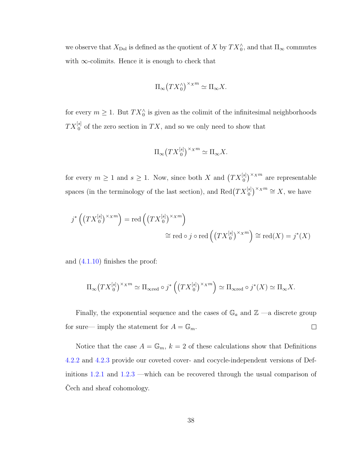we observe that  $X_{\text{Dol}}$  is defined as the quotient of X by  $TX_0^{\wedge}$ , and that  $\Pi_{\infty}$  commutes with  $\infty$ -colimits. Hence it is enough to check that

$$
\Pi_{\infty} (TX_0^{\wedge})^{\times_X m} \simeq \Pi_{\infty} X.
$$

for every  $m \geq 1$ . But  $TX_0^{\wedge}$  is given as the colimit of the infinitesimal neighborhoods  $TX_0^{[s]}$  of the zero section in  $TX$ , and so we only need to show that

$$
\Pi_{\infty}\big(TX_0^{[s]}\big)^{\times_X m} \simeq \Pi_{\infty} X.
$$

for every  $m \geq 1$  and  $s \geq 1$ . Now, since both X and  $(TX_0^{[s]})^{\times_X m}$  are representable spaces (in the terminology of the last section), and  $\text{Red}(TX_0^{[s]})^{\times_X m} \cong X$ , we have

$$
j^* \left( \left( TX_0^{[s]} \right)^{\times_X m} \right) = \text{red} \left( \left( TX_0^{[s]} \right)^{\times_X m} \right)
$$
  

$$
\cong \text{red} \circ j \circ \text{red} \left( \left( TX_0^{[s]} \right)^{\times_X m} \right) \cong \text{red}(X) = j^*(X)
$$

and [\(4.1.10\)](#page-39-0) finishes the proof:

$$
\Pi_{\infty}(TX_0^{[s]})^{\times_X m} \simeq \Pi_{\infty \text{red}} \circ j^* \left( \left( TX_0^{[s]} \right)^{\times_X m} \right) \simeq \Pi_{\infty \text{red}} \circ j^*(X) \simeq \Pi_{\infty} X.
$$

Finally, the exponential sequence and the cases of  $\mathbb{G}_a$  and  $\mathbb{Z}$  —a discrete group for sure— imply the statement for  $A = \mathbb{G}_m$ .  $\Box$ 

Notice that the case  $A = \mathbb{G}_m$ ,  $k = 2$  of these calculations show that Definitions [4.2.2](#page-42-0) and [4.2.3](#page-42-1) provide our coveted cover- and cocycle-independent versions of Definitions [1.2.1](#page-13-0) and [1.2.3](#page-16-0) —which can be recovered through the usual comparison of Cech and sheaf cohomology.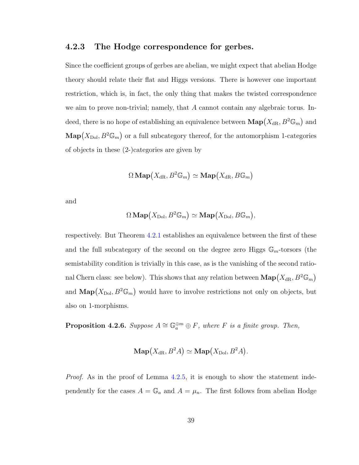### <span id="page-45-1"></span>4.2.3 The Hodge correspondence for gerbes.

Since the coefficient groups of gerbes are abelian, we might expect that abelian Hodge theory should relate their flat and Higgs versions. There is however one important restriction, which is, in fact, the only thing that makes the twisted correspondence we aim to prove non-trivial; namely, that A cannot contain any algebraic torus. Indeed, there is no hope of establishing an equivalence between  $\mathbf{Map}(X_{\mathrm{dR}}, B^2 \mathbb{G}_m)$  and  $\mathbf{Map}(X_{\text{Dol}}, B^2 \mathbb{G}_m)$  or a full subcategory thereof, for the automorphism 1-categories of objects in these (2-)categories are given by

$$
\Omega \operatorname{\mathbf{Map}}(X_{\operatorname{dR}},B^2\mathbb{G}_m)\simeq \operatorname{\mathbf{Map}}(X_{\operatorname{dR}},B\mathbb{G}_m)
$$

and

$$
\Omega \operatorname{Map}(X_{\text{Dol}}, B^2 \mathbb{G}_m) \simeq \operatorname{Map}(X_{\text{Dol}}, B \mathbb{G}_m),
$$

respectively. But Theorem [4.2.1](#page-41-0) establishes an equivalence between the first of these and the full subcategory of the second on the degree zero Higgs  $\mathbb{G}_m$ -torsors (the semistability condition is trivially in this case, as is the vanishing of the second rational Chern class: see below). This shows that any relation between  $\text{Map}(X_{\text{dR}}, B^2 \mathbb{G}_m)$ and  $\text{Map}(X_{\text{Dol}}, B^2 \mathbb{G}_m)$  would have to involve restrictions not only on objects, but also on 1-morphisms.

<span id="page-45-0"></span>**Proposition 4.2.6.** Suppose  $A \cong \mathbb{G}_a^{\oplus m} \oplus F$ , where F is a finite group. Then,

$$
\mathbf{Map}(X_{\mathrm{dR}}, B^2A) \simeq \mathbf{Map}(X_{\mathrm{Dol}}, B^2A).
$$

*Proof.* As in the proof of Lemma [4.2.5,](#page-43-2) it is enough to show the statement independently for the cases  $A = \mathbb{G}_a$  and  $A = \mu_n$ . The first follows from abelian Hodge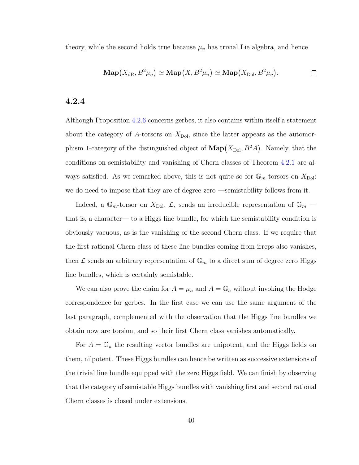theory, while the second holds true because  $\mu_n$  has trivial Lie algebra, and hence

$$
\mathbf{Map}(X_{\mathrm{dR}}, B^2 \mu_n) \simeq \mathbf{Map}(X, B^2 \mu_n) \simeq \mathbf{Map}(X_{\mathrm{Dol}}, B^2 \mu_n).
$$

### <span id="page-46-0"></span>4.2.4

Although Proposition [4.2.6](#page-45-0) concerns gerbes, it also contains within itself a statement about the category of A-torsors on  $X_{\text{Dol}}$ , since the latter appears as the automorphism 1-category of the distinguished object of  $\text{Map}(X_{\text{Dol}}, B^2A)$ . Namely, that the conditions on semistability and vanishing of Chern classes of Theorem [4.2.1](#page-41-0) are always satisfied. As we remarked above, this is not quite so for  $\mathbb{G}_m$ -torsors on  $X_{\text{Dol}}$ : we do need to impose that they are of degree zero —semistability follows from it.

Indeed, a  $\mathbb{G}_m$ -torsor on  $X_{\text{Dol}}$ ,  $\mathcal{L}$ , sends an irreducible representation of  $\mathbb{G}_m$  that is, a character— to a Higgs line bundle, for which the semistability condition is obviously vacuous, as is the vanishing of the second Chern class. If we require that the first rational Chern class of these line bundles coming from irreps also vanishes, then  $\mathcal L$  sends an arbitrary representation of  $\mathbb G_m$  to a direct sum of degree zero Higgs line bundles, which is certainly semistable.

We can also prove the claim for  $A = \mu_n$  and  $A = \mathbb{G}_a$  without invoking the Hodge correspondence for gerbes. In the first case we can use the same argument of the last paragraph, complemented with the observation that the Higgs line bundles we obtain now are torsion, and so their first Chern class vanishes automatically.

For  $A = \mathbb{G}_a$  the resulting vector bundles are unipotent, and the Higgs fields on them, nilpotent. These Higgs bundles can hence be written as successive extensions of the trivial line bundle equipped with the zero Higgs field. We can finish by observing that the category of semistable Higgs bundles with vanishing first and second rational Chern classes is closed under extensions.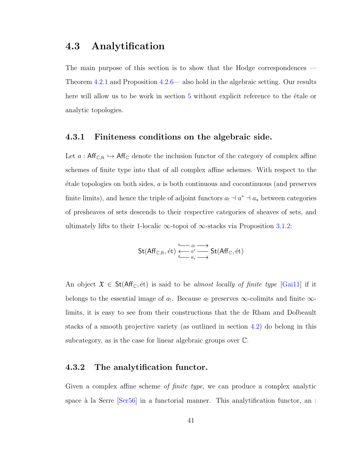### <span id="page-47-0"></span>4.3 Analytification

The main purpose of this section is to show that the Hodge correspondences — Theorem [4.2.1](#page-41-0) and Proposition [4.2.6—](#page-45-0) also hold in the algebraic setting. Our results here will allow us to be work in section [5](#page-50-0) without explicit reference to the étale or analytic topologies.

### 4.3.1 Finiteness conditions on the algebraic side.

Let  $a : Aff_{\mathbb{C},\text{ft}} \hookrightarrow Aff_{\mathbb{C}}$  denote the inclusion functor of the category of complex affine schemes of finite type into that of all complex affine schemes. With respect to the  $\acute{e}$ tale topologies on both sides, a is both continuous and cocontinuous (and preserves finite limits), and hence the triple of adjoint functors  $a_1 \doteq a^* \doteq a_*$  between categories of presheaves of sets descends to their respective categories of sheaves of sets, and ultimately lifts to their 1-localic  $\infty$ -topoi of  $\infty$ -stacks via Proposition [3.1.2:](#page-30-0)

$$
\mathsf{St}(\mathsf{Aff}_{\mathbb{C},\mathsf{ft}},\operatorname{\acute{e}t})\xleftarrow[\begin{array}{c}a_1\\ \leftarrow \end{array}]{a^*_t} \xrightarrow{a_t} \mathsf{St}(\mathsf{Aff}_{\mathbb{C}},\operatorname{\acute{e}t})
$$

An object  $\mathfrak{X} \in \mathsf{St}(\mathsf{Aff}_{\mathbb{C}},\text{\'et})$  is said to be *almost locally of finite type* [\[Gai11\]](#page-74-1) if it belongs to the essential image of  $a_!$ . Because  $a_!$  preserves  $\infty$ -colimits and finite  $\infty$ limits, it is easy to see from their constructions that the de Rham and Dolbeault stacks of a smooth projective variety (as outlined in section [4.2\)](#page-40-0) do belong in this subcategory, as is the case for linear algebraic groups over C.

### 4.3.2 The analytification functor.

Given a complex affine scheme of finite type, we can produce a complex analytic space à la Serre  $\text{[Ser56]}$  in a functorial manner. This analytification functor, an :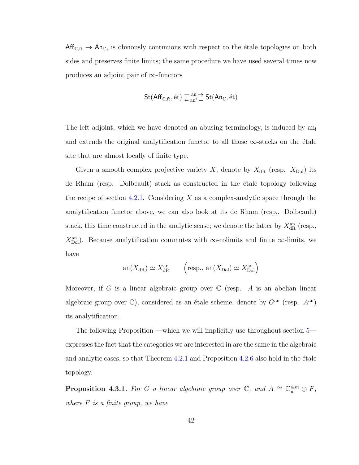$Aff_{\mathbb{C},\text{ft}} \to An_{\mathbb{C}}$ , is obviously continuous with respect to the étale topologies on both sides and preserves finite limits; the same procedure we have used several times now produces an adjoint pair of  $\infty$ -functors

$$
\mathsf{St}(\mathsf{Aff}_{\mathbb{C},\mathrm{ft}},\mathrm{\acute{e}t})\underset{\leftarrow}{\overset{\mathrm{an}}{\leftarrow}}\overset{\rightarrow}{\mathsf{st}}(\mathsf{An}_\mathbb{C},\mathrm{\acute{e}t})
$$

The left adjoint, which we have denoted an abusing terminology, is induced by an and extends the original analytification functor to all those  $\infty$ -stacks on the étale site that are almost locally of finite type.

Given a smooth complex projective variety X, denote by  $X_{\text{dR}}$  (resp.  $X_{\text{Dol}}$ ) its de Rham (resp. Dolbeault) stack as constructed in the étale topology following the recipe of section [4.2.1.](#page-40-1) Considering X as a complex-analytic space through the analytification functor above, we can also look at its de Rham (resp,. Dolbeault) stack, this time constructed in the analytic sense; we denote the latter by  $X_{\mathrm{dR}}^{\mathrm{an}}$  (resp.,  $X_{\text{Dol}}^{\text{an}}$ ). Because analytification commutes with ∞-colimits and finite ∞-limits, we have

$$
an(X_{\text{dR}}) \simeq X_{\text{dR}}^{\text{an}} \qquad \left(\text{resp., } an(X_{\text{Dol}}) \simeq X_{\text{Dol}}^{\text{an}}\right)
$$

Moreover, if G is a linear algebraic group over  $\mathbb C$  (resp. A is an abelian linear algebraic group over  $\mathbb{C}$ ), considered as an étale scheme, denote by  $G<sup>an</sup>$  (resp.  $A<sup>an</sup>$ ) its analytification.

The following Proposition —which we will implicitly use throughout section [5](#page-50-0) expresses the fact that the categories we are interested in are the same in the algebraic and analytic cases, so that Theorem  $4.2.1$  and Proposition  $4.2.6$  also hold in the étale topology.

**Proposition 4.3.1.** For G a linear algebraic group over  $\mathbb{C}$ , and  $A \cong \mathbb{G}_a^{\oplus m} \oplus F$ , where  $F$  is a finite group, we have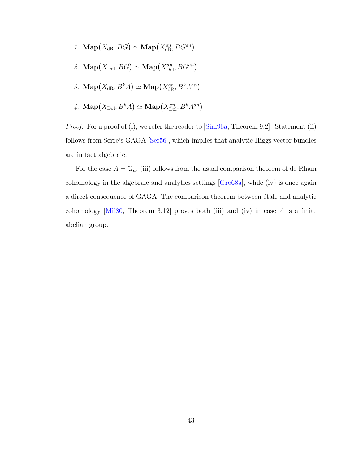- 1. Map $(X_{\text{dR}}, BG) \simeq \text{Map}(X_{\text{dR}}^{an}, BG^{an})$
- 2. Map $(X_{\text{Dol}}, BG) \simeq \text{Map}(X_{\text{Dol}}^{an}, BG^{an})$
- 3. Map $(X_{\text{dR}}, B^k A) \simeq \text{Map}(X_{\text{dR}}^{an}, B^k A^{an})$
- 4.  $\mathbf{Map}(X_{\mathrm{Dol}},B^kA)\simeq \mathbf{Map}\big(X_{\mathrm{Dol}}^{an},B^kA^{an}\big)$

*Proof.* For a proof of (i), we refer the reader to [\[Sim96a,](#page-76-4) Theorem 9.2]. Statement (ii) follows from Serre's GAGA [\[Ser56\]](#page-76-3), which implies that analytic Higgs vector bundles are in fact algebraic.

For the case  $A = \mathbb{G}_a$ , (iii) follows from the usual comparison theorem of de Rham cohomology in the algebraic and analytics settings [\[Gro68a\]](#page-74-0), while (iv) is once again a direct consequence of GAGA. The comparison theorem between étale and analytic cohomology  $[Mil80, Theorem 3.12]$  proves both (iii) and (iv) in case A is a finite abelian group.  $\Box$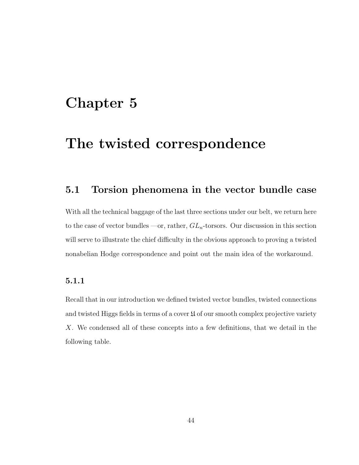## <span id="page-50-0"></span>Chapter 5

## The twisted correspondence

### 5.1 Torsion phenomena in the vector bundle case

With all the technical baggage of the last three sections under our belt, we return here to the case of vector bundles —or, rather,  $GL_n$ -torsors. Our discussion in this section will serve to illustrate the chief difficulty in the obvious approach to proving a twisted nonabelian Hodge correspondence and point out the main idea of the workaround.

### 5.1.1

Recall that in our introduction we defined twisted vector bundles, twisted connections and twisted Higgs fields in terms of a cover  $\mathfrak U$  of our smooth complex projective variety X. We condensed all of these concepts into a few definitions, that we detail in the following table.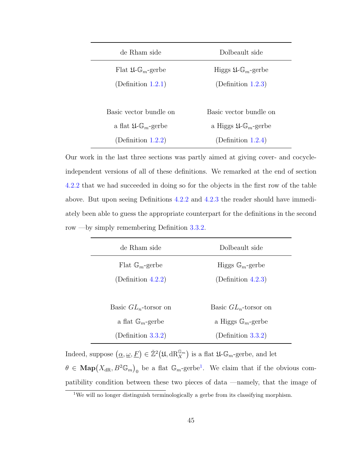| de Rham side                                     | Dolbeault side                                    |
|--------------------------------------------------|---------------------------------------------------|
| Flat $\mathfrak{U}\text{-}\mathbb{G}_m$ -gerbe   | Higgs $\mathfrak{U}\text{-}\mathbb{G}_m$ -gerbe   |
| (Definition 1.2.1)                               | (Definition $1.2.3$ )                             |
|                                                  |                                                   |
| Basic vector bundle on                           | Basic vector bundle on                            |
| a flat $\mathfrak{U}\text{-}\mathbb{G}_m$ -gerbe | a Higgs $\mathfrak{U}\text{-}\mathbb{G}_m$ -gerbe |
| (Definition $1.2.2$ )                            | (Definition $1.2.4$ )                             |

Our work in the last three sections was partly aimed at giving cover- and cocycleindependent versions of all of these definitions. We remarked at the end of section [4.2.2](#page-42-2) that we had succeeded in doing so for the objects in the first row of the table above. But upon seeing Definitions [4.2.2](#page-42-0) and [4.2.3](#page-42-1) the reader should have immediately been able to guess the appropriate counterpart for the definitions in the second row —by simply remembering Definition [3.3.2.](#page-32-0)

| de Rham side                 | Dolbeault side                |
|------------------------------|-------------------------------|
| Flat $\mathbb{G}_m$ -gerbe   | Higgs $\mathbb{G}_m$ -gerbe   |
| (Definition $4.2.2$ )        | (Definition $4.2.3$ )         |
|                              |                               |
| Basic $GL_n$ -torsor on      | Basic $GL_n$ -torsor on       |
| a flat $\mathbb{G}_m$ -gerbe | a Higgs $\mathbb{G}_m$ -gerbe |
| (Definition 3.3.2)           | (Definition $3.3.2$ )         |

Indeed, suppose  $(\underline{\alpha}, \underline{\omega}, \underline{F}) \in \mathbb{Z}^2(\mathfrak{U}, dR_X^{\mathbb{G}_m})$  is a flat  $\mathfrak{U}$ - $\mathbb{G}_m$ -gerbe, and let  $\theta \in \text{Map}(X_{dR}, B^2 \mathbb{G}_m)$  be a flat  $\mathbb{G}_m$ -gerbe<sup>[1](#page-51-0)</sup>. We claim that if the obvious compatibility condition between these two pieces of data —namely, that the image of

<span id="page-51-0"></span><sup>&</sup>lt;sup>1</sup>We will no longer distinguish terminologically a gerbe from its classifying morphism.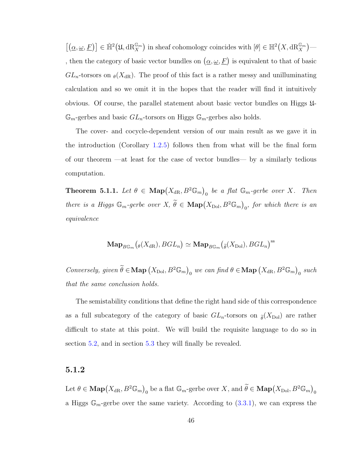$\left[ \left( \underline{\alpha}, \underline{\omega}, \underline{F} \right) \right] \in \check{\mathbb{H}}^2 \big( \mathfrak{U}, \mathrm{dR}_X^{\mathbb{G}_m} \big)$  in sheaf cohomology coincides with  $\left[ \theta \right] \in \mathbb{H}^2 \big( X, \mathrm{dR}_X^{\mathbb{G}_m} \big)$ — , then the category of basic vector bundles on  $(\underline{\alpha}, \underline{\omega}, \underline{F})$  is equivalent to that of basic  $GL_n$ -torsors on  $\theta(X_{dR})$ . The proof of this fact is a rather messy and unilluminating calculation and so we omit it in the hopes that the reader will find it intuitively obvious. Of course, the parallel statement about basic vector bundles on Higgs U- $\mathbb{G}_m$ -gerbes and basic  $GL_n$ -torsors on Higgs  $\mathbb{G}_m$ -gerbes also holds.

The cover- and cocycle-dependent version of our main result as we gave it in the introduction (Corollary [1.2.5\)](#page-16-2) follows then from what will be the final form of our theorem —at least for the case of vector bundles— by a similarly tedious computation.

<span id="page-52-0"></span>**Theorem 5.1.1.** Let  $\theta \in \text{Map}(X_{dR}, B^2 \mathbb{G}_m)$  be a flat  $\mathbb{G}_m$ -gerbe over X. Then there is a Higgs  $\mathbb{G}_m$ -gerbe over  $X, \ \widetilde{\theta} \in \mathrm{Map}(X_{\mathrm{Dol}}, B^2 \mathbb{G}_m)_{\overline{0}},$  for which there is an equivalence

$$
\mathbf{Map}_{B\mathbb{G}_m}\big(\theta(X_{\mathrm{dR}}),BGL_n\big)\simeq \mathbf{Map}_{B\mathbb{G}_m}\big(\widetilde{\theta}(X_{\mathrm{Dol}}),BGL_n\big)^{\mathrm{ss}}
$$

Conversely, given  $\widetilde{\theta} \in \mathbf{Map}(X_{\text{Dol}}, B^2 \mathbb{G}_m)_{\text{O}}$  we can find  $\theta \in \mathbf{Map}(X_{\text{dR}}, B^2 \mathbb{G}_m)_{\text{O}}$  such that the same conclusion holds.

The semistability conditions that define the right hand side of this correspondence as a full subcategory of the category of basic  $GL_n$ -torsors on  $\tilde{\rho}(X_{\text{Dol}})$  are rather difficult to state at this point. We will build the requisite language to do so in section [5.2,](#page-55-0) and in section [5.3](#page-66-0) they will finally be revealed.

### <span id="page-52-1"></span>5.1.2

Let  $\theta \in \textbf{Map}(X_{\text{dR}}, B^2 \mathbb{G}_m)_{\text{0}}$  be a flat  $\mathbb{G}_m$ -gerbe over X, and  $\widetilde{\theta} \in \textbf{Map}(X_{\text{Dol}}, B^2 \mathbb{G}_m)_{\text{0}}$ a Higgs  $\mathbb{G}_m$ -gerbe over the same variety. According to  $(3.3.1)$ , we can express the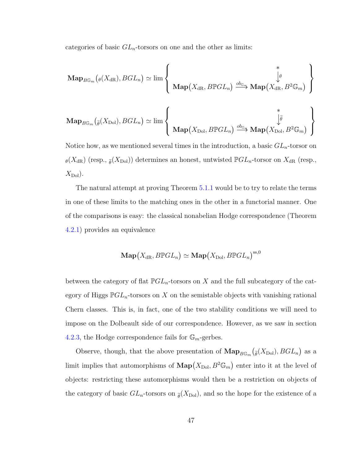categories of basic  $GL_n$ -torsors on one and the other as limits:

$$
\mathbf{Map}_{B\mathbb{G}_m}(\rho(X_{\mathrm{dR}}), BGL_n) \simeq \lim_{M \to \infty} \left\{ \begin{array}{c} * \\ \oint \rho \\ \mathbf{Map}(X_{\mathrm{dR}}, B\mathbb{P}GL_n) \xrightarrow{ob_{\mathbb{G}_m}} \mathbf{Map}(X_{\mathrm{dR}}, B^2\mathbb{G}_m) \end{array} \right\}
$$

$$
\left\{ \begin{array}{c} * \\ \oint \rho \\ \downarrow \tilde{\rho} \\ \mathbf{Map}(X_{\mathrm{Dol}}, B\mathbb{P}GL_n) \xrightarrow{ob_{\mathbb{G}_m}} \mathbf{Map}(X_{\mathrm{Dol}}, B^2\mathbb{G}_m) \end{array} \right\}
$$

Notice how, as we mentioned several times in the introduction, a basic  $GL_n$ -torsor on  $\theta(X_{\text{dR}})$  (resp.,  $\tilde{\theta}(X_{\text{Dol}})$ ) determines an honest, untwisted  $\mathbb{P}GL_n$ -torsor on  $X_{\text{dR}}$  (resp.,  $X_{\text{Dol}}$ ).

The natural attempt at proving Theorem [5.1.1](#page-52-0) would be to try to relate the terms in one of these limits to the matching ones in the other in a functorial manner. One of the comparisons is easy: the classical nonabelian Hodge correspondence (Theorem [4.2.1\)](#page-41-0) provides an equivalence

$$
\mathbf{Map}\big(X_{\mathrm{dR}},B\mathbb{P}GL_n\big)\simeq\mathbf{Map}\big(X_{\mathrm{Dol}},B\mathbb{P}GL_n\big)^{\mathrm{ss},0}
$$

between the category of flat  $\mathbb{P}GL_n$ -torsors on X and the full subcategory of the category of Higgs  $\mathbb{P}GL_n$ -torsors on X on the semistable objects with vanishing rational Chern classes. This is, in fact, one of the two stability conditions we will need to impose on the Dolbeault side of our correspondence. However, as we saw in section [4.2.3,](#page-45-1) the Hodge correspondence fails for  $\mathbb{G}_m$ -gerbes.

Observe, though, that the above presentation of  $\mathbf{Map}_{B\mathbb{G}_m}(\tilde{\rho}(X_{\text{Dol}}),BGL_n)$  as a limit implies that automorphisms of  $\mathbf{Map}(X_{\mathrm{Dol}}, B^2 \mathbb{G}_m)$  enter into it at the level of objects: restricting these automorphisms would then be a restriction on objects of the category of basic  $GL_n$ -torsors on  $\tilde{\rho}(X_{\text{Dol}})$ , and so the hope for the existence of a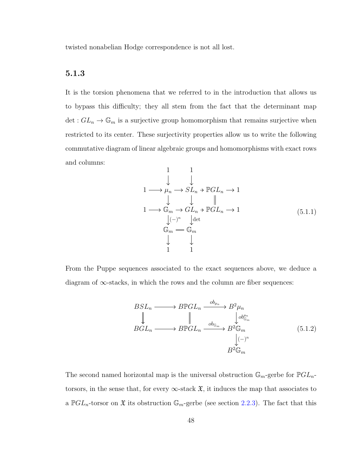twisted nonabelian Hodge correspondence is not all lost.

### 5.1.3

It is the torsion phenomena that we referred to in the introduction that allows us to bypass this difficulty; they all stem from the fact that the determinant map det :  $GL_n \to \mathbb{G}_m$  is a surjective group homomorphism that remains surjective when restricted to its center. These surjectivity properties allow us to write the following commutative diagram of linear algebraic groups and homomorphisms with exact rows and columns:

<span id="page-54-1"></span>
$$
\begin{array}{ccc}\n & 1 & 1 \\
 & \downarrow & \downarrow \\
1 \longrightarrow \mu_n \longrightarrow SL_n \rightarrow \mathbb{P}GL_n \longrightarrow 1 \\
 & \downarrow & \downarrow & \downarrow \\
1 \longrightarrow \mathbb{G}_m \longrightarrow GL_n \rightarrow \mathbb{P}GL_n \longrightarrow 1 \\
 & \downarrow \leftarrow \\
 & \mathbb{G}_m \longrightarrow \mathbb{G}_m \\
 & \downarrow & \downarrow \\
 & 1 & 1\n\end{array} \tag{5.1.1}
$$

From the Puppe sequences associated to the exact sequences above, we deduce a diagram of  $\infty$ -stacks, in which the rows and the column are fiber sequences:

<span id="page-54-0"></span>
$$
BSL_n \longrightarrow B\mathbb{P}GL_n \xrightarrow{ob_{\mu_n}} B^2 \mu_n
$$
  
\n
$$
BGL_n \longrightarrow B\mathbb{P}GL_n \xrightarrow{ob_{\mathbb{G}_m}} B^2 \mathbb{G}_m
$$
  
\n
$$
B^2 \mathbb{G}_m
$$
  
\n
$$
B^2 \mathbb{G}_m
$$
  
\n
$$
(5.1.2)
$$

The second named horizontal map is the universal obstruction  $\mathbb{G}_m$ -gerbe for  $\mathbb{P}GL_n$ torsors, in the sense that, for every  $\infty$ -stack  $\mathfrak{X}$ , it induces the map that associates to a  $\mathbb{P}GL_n$ -torsor on  $\mathfrak X$  its obstruction  $\mathbb{G}_m$ -gerbe (see section [2.2.3\)](#page-25-0). The fact that this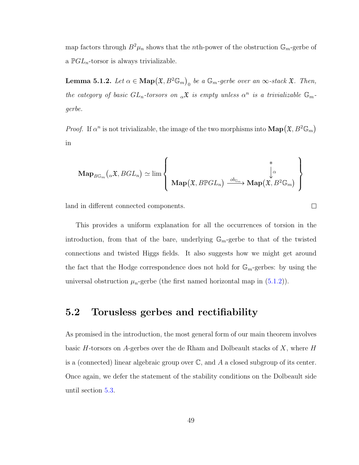map factors through  $B^2\mu_n$  shows that the *n*th-power of the obstruction  $\mathbb{G}_m$ -gerbe of a  $\mathbb{P}GL_n$ -torsor is always trivializable.

<span id="page-55-1"></span>**Lemma 5.1.2.** Let  $\alpha \in \text{Map}(\mathfrak{X}, B^2 \mathbb{G}_m)$  be a  $\mathbb{G}_m$ -gerbe over an  $\infty$ -stack  $\mathfrak{X}$ . Then, the category of basic  $GL_n$ -torsors on  $\alpha \mathfrak{X}$  is empty unless  $\alpha^n$  is a trivializable  $\mathbb{G}_m$ gerbe.

*Proof.* If  $\alpha^n$  is not trivializable, the image of the two morphisms into  $\text{Map}(\mathfrak{X}, B^2 \mathbb{G}_m)$ in

$$
\mathbf{Map}_{B\mathbb{G}_m}(\alpha\mathfrak{X},BGL_n)\simeq\lim\left\{\begin{array}{c}\ast\\\mathbf{Map}(\mathfrak{X},B\mathbb{P}GL_n)\xrightarrow{ob_{\mathbb{G}_m}}\mathbf{Map}(\mathfrak{X},B^2\mathbb{G}_m)\end{array}\right\}
$$

 $\Box$ 

land in different connected components.

This provides a uniform explanation for all the occurrences of torsion in the introduction, from that of the bare, underlying  $\mathbb{G}_m$ -gerbe to that of the twisted connections and twisted Higgs fields. It also suggests how we might get around the fact that the Hodge correspondence does not hold for  $\mathbb{G}_m$ -gerbes: by using the universal obstruction  $\mu_n$ -gerbe (the first named horizontal map in  $(5.1.2)$ ).

### <span id="page-55-0"></span>5.2 Torusless gerbes and rectifiability

As promised in the introduction, the most general form of our main theorem involves basic H-torsors on A-gerbes over the de Rham and Dolbeault stacks of  $X$ , where H is a (connected) linear algebraic group over  $\mathbb{C}$ , and A a closed subgroup of its center. Once again, we defer the statement of the stability conditions on the Dolbeault side until section [5.3.](#page-66-0)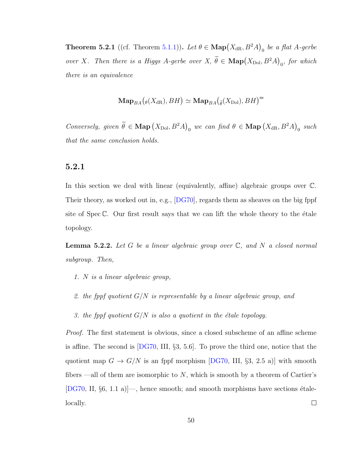<span id="page-56-1"></span>**Theorem 5.2.1** ((cf. Theorem [5.1.1\)](#page-52-0)). Let  $\theta \in \text{Map}(X_{\text{dR}}, B^2A)_{0}$  be a flat A-gerbe over X. Then there is a Higgs A-gerbe over X,  $\theta \in \text{Map}(X_{\text{Dol}}, B^2A)_0$ , for which there is an equivalence

$$
\mathbf{Map}_{BA}\big(_{\theta}(X_{\mathrm{dR}}), BH\big) \simeq \mathbf{Map}_{BA}\big(_{\widetilde{\theta}}(X_{\mathrm{Dol}}), BH\big)^{\mathrm{ss}}
$$

Conversely, given  $\hat{\theta} \in \textbf{Map}(X_{\text{Dol}}, B^2A)_{0}$  we can find  $\theta \in \textbf{Map}(X_{\text{dR}}, B^2A)_{0}$  such that the same conclusion holds.

### <span id="page-56-0"></span>5.2.1

In this section we deal with linear (equivalently, affine) algebraic groups over C. Their theory, as worked out in, e.g., [\[DG70\]](#page-73-0), regards them as sheaves on the big fppf site of  $Spec \mathbb{C}$ . Our first result says that we can lift the whole theory to the étale topology.

**Lemma 5.2.2.** Let G be a linear algebraic group over  $\mathbb{C}$ , and N a closed normal subgroup. Then,

- 1. N is a linear algebraic group,
- 2. the fppf quotient  $G/N$  is representable by a linear algebraic group, and
- 3. the fppf quotient  $G/N$  is also a quotient in the étale topology.

Proof. The first statement is obvious, since a closed subscheme of an affine scheme is affine. The second is [\[DG70,](#page-73-0) III, §3, 5.6]. To prove the third one, notice that the quotient map  $G \to G/N$  is an fppf morphism [\[DG70,](#page-73-0) III, §3, 2.5 a)] with smooth fibers —all of them are isomorphic to  $N$ , which is smooth by a theorem of Cartier's [\[DG70,](#page-73-0) II,  $\S6$ , 1.1 a)]—, hence smooth; and smooth morphisms have sections étalelocally.  $\Box$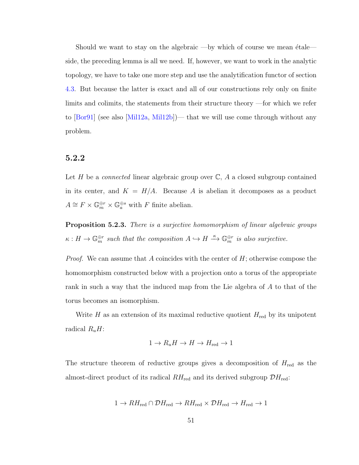Should we want to stay on the algebraic —by which of course we mean  $\text{étale}$  side, the preceding lemma is all we need. If, however, we want to work in the analytic topology, we have to take one more step and use the analytification functor of section [4.3.](#page-47-0) But because the latter is exact and all of our constructions rely only on finite limits and colimits, the statements from their structure theory —for which we refer to [\[Bor91\]](#page-73-1) (see also [\[Mil12a,](#page-76-5) [Mil12b\]](#page-76-6))— that we will use come through without any problem.

### 5.2.2

Let H be a *connected* linear algebraic group over  $\mathbb{C}$ , A a closed subgroup contained in its center, and  $K = H/A$ . Because A is abelian it decomposes as a product  $A \cong F \times \mathbb{G}_m^{\oplus r} \times \mathbb{G}_a^{\oplus s}$  with F finite abelian.

**Proposition 5.2.3.** There is a surjective homomorphism of linear algebraic groups  $\kappa: H \to \mathbb{G}_m^{\oplus r}$  such that the composition  $A \hookrightarrow H \stackrel{\kappa}{\to} \mathbb{G}_m^{\oplus r}$  is also surjective.

*Proof.* We can assume that A coincides with the center of  $H$ ; otherwise compose the homomorphism constructed below with a projection onto a torus of the appropriate rank in such a way that the induced map from the Lie algebra of A to that of the torus becomes an isomorphism.

Write H as an extension of its maximal reductive quotient  $H_{\text{red}}$  by its unipotent radical  $R_uH$ :

$$
1 \to R_u H \to H \to H_{\text{red}} \to 1
$$

The structure theorem of reductive groups gives a decomposition of  $H_{\text{red}}$  as the almost-direct product of its radical  $RH_{\text{red}}$  and its derived subgroup  $\mathcal{D}H_{\text{red}}$ :

$$
1 \to RH_{\text{red}} \cap \mathcal{D}H_{\text{red}} \to RH_{\text{red}} \times \mathcal{D}H_{\text{red}} \to H_{\text{red}} \to 1
$$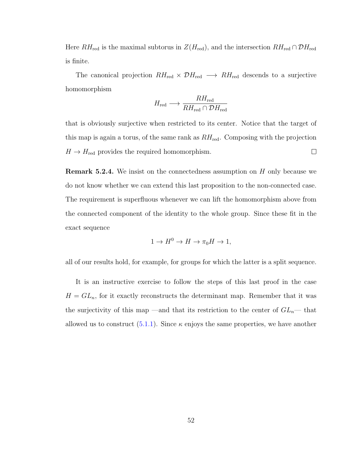Here  $RH_{\text{red}}$  is the maximal subtorus in  $Z(H_{\text{red}})$ , and the intersection  $RH_{\text{red}} \cap \mathcal{D}H_{\text{red}}$ is finite.

The canonical projection  $RH_{\text{red}} \times \mathcal{D}H_{\text{red}} \longrightarrow RH_{\text{red}}$  descends to a surjective homomorphism

$$
H_{\text{red}} \longrightarrow \frac{RH_{\text{red}}}{RH_{\text{red}} \cap \mathcal{D}H_{\text{red}}}
$$

that is obviously surjective when restricted to its center. Notice that the target of this map is again a torus, of the same rank as  $RH_{\text{red}}$ . Composing with the projection  $\Box$  $H \to H_{\text{red}}$  provides the required homomorphism.

**Remark 5.2.4.** We insist on the connectedness assumption on  $H$  only because we do not know whether we can extend this last proposition to the non-connected case. The requirement is superfluous whenever we can lift the homomorphism above from the connected component of the identity to the whole group. Since these fit in the exact sequence

$$
1 \to H^0 \to H \to \pi_0 H \to 1,
$$

all of our results hold, for example, for groups for which the latter is a split sequence.

It is an instructive exercise to follow the steps of this last proof in the case  $H = GL_n$ , for it exactly reconstructs the determinant map. Remember that it was the surjectivity of this map —and that its restriction to the center of  $GL_n$ — that allowed us to construct  $(5.1.1)$ . Since  $\kappa$  enjoys the same properties, we have another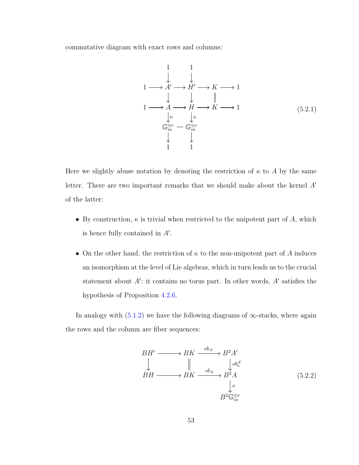commutative diagram with exact rows and columns:

<span id="page-59-1"></span>
$$
\begin{array}{ccc}\n & 1 & 1 \\
 & \downarrow & \downarrow \\
1 \longrightarrow A' \longrightarrow H' \longrightarrow K \longrightarrow 1 \\
1 \longrightarrow A \longrightarrow H \longrightarrow K \longrightarrow 1 \\
 & \downarrow \kappa & \downarrow \kappa \\
\mathbb{G}_m^{\oplus r} = \mathbb{G}_m^{\oplus r} \\
 & \downarrow & \downarrow \\
1 & 1 & 1\n\end{array} \tag{5.2.1}
$$

Here we slightly abuse notation by denoting the restriction of  $\kappa$  to A by the same letter. There are two important remarks that we should make about the kernel  $A'$ of the latter:

- By construction,  $\kappa$  is trivial when restricted to the unipotent part of A, which is hence fully contained in  $A'$ .
- On the other hand, the restriction of  $\kappa$  to the non-unipotent part of A induces an isomorphism at the level of Lie algebras, which in turn leads us to the crucial statement about  $A'$ : it contains no torus part. In other words,  $A'$  satisfies the hypothesis of Proposition [4.2.6.](#page-45-0)

In analogy with  $(5.1.2)$  we have the following diagrams of  $\infty$ -stacks, where again the rows and the column are fiber sequences:

<span id="page-59-0"></span>
$$
BH' \longrightarrow BK \xrightarrow{ob_{A'} \rightarrow B^2 A'}
$$
  
\n
$$
\downarrow \qquad \qquad \downarrow \qquad \qquad \downarrow \qquad \downarrow \downarrow \downarrow \downarrow
$$
  
\n
$$
BH \longrightarrow BK \xrightarrow{ob_A \rightarrow B^2 A} B^2 A
$$
  
\n
$$
\downarrow \kappa
$$
  
\n
$$
B^2 \mathbb{G}_m^{\oplus r} \qquad (5.2.2)
$$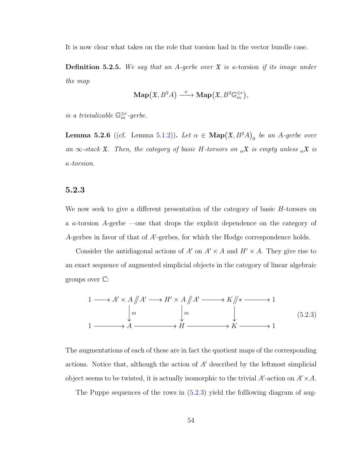It is now clear what takes on the role that torsion had in the vector bundle case.

**Definition 5.2.5.** We say that an A-gerbe over  $\mathfrak{X}$  is  $\kappa$ -torsion if its image under the map

$$
\mathbf{Map}\big(\mathfrak{X},B^2A\big)\overset{\kappa}{\longrightarrow}\mathbf{Map}\big(\mathfrak{X},B^2\mathbb{G}_m^{\oplus r}\big),
$$

is a trivializable  $\mathbb{G}_m^{\oplus r}$ -gerbe.

<span id="page-60-2"></span>**Lemma 5.2.6** ((cf. Lemma [5.1.2\)](#page-55-1)). Let  $\alpha \in \textbf{Map}(\mathfrak{X}, B^2A)_{0}$  be an A-gerbe over an  $\infty$ -stack  $\mathfrak{X}$ . Then, the category of basic H-torsors on  $_{\alpha} \mathfrak{X}$  is empty unless  $_{\alpha} \mathfrak{X}$  is κ-torsion.

#### <span id="page-60-1"></span>5.2.3

We now seek to give a different presentation of the category of basic  $H$ -torsors on a  $\kappa$ -torsion A-gerbe —one that drops the explicit dependence on the category of A-gerbes in favor of that of  $A'$ -gerbes, for which the Hodge correspondence holds.

Consider the antidiagonal actions of A' on  $A' \times A$  and  $H' \times A$ . They give rise to an exact sequence of augmented simplicial objects in the category of linear algebraic groups over C:

<span id="page-60-0"></span>
$$
1 \longrightarrow A' \times A \parallel A' \longrightarrow H' \times A \parallel A' \longrightarrow K \parallel * \longrightarrow 1
$$
  
\n
$$
\downarrow m \qquad \qquad \downarrow m \qquad \qquad \downarrow
$$
  
\n
$$
1 \longrightarrow A \longrightarrow H \longrightarrow H \longrightarrow K \longrightarrow 1
$$
 (5.2.3)

The augmentations of each of these are in fact the quotient maps of the corresponding actions. Notice that, although the action of  $A'$  described by the leftmost simplicial object seems to be twisted, it is actually isomorphic to the trivial  $A'$ -action on  $A' \times A$ .

The Puppe sequences of the rows in  $(5.2.3)$  yield the folllowing diagram of aug-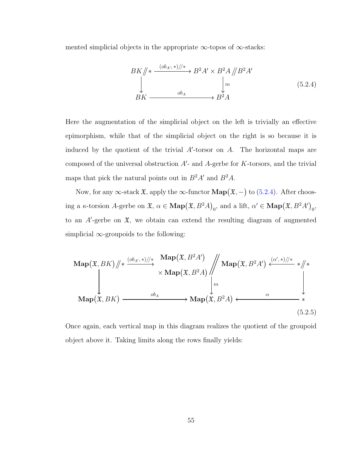mented simplicial objects in the appropriate  $\infty$ -topos of  $\infty$ -stacks:

<span id="page-61-0"></span>
$$
BK \n\begin{aligned}\n&\# \xrightarrow{(ob_{A'},*)/\n} B^2 A' \times B^2 A \n\begin{aligned}\n&\downarrow m \\
&\downarrow m \\
BK \n\end{aligned}\n\end{aligned}\n\qquad (5.2.4)
$$

Here the augmentation of the simplicial object on the left is trivially an effective epimorphism, while that of the simplicial object on the right is so because it is induced by the quotient of the trivial  $A'$ -torsor on  $A$ . The horizontal maps are composed of the universal obstruction  $A'$ - and  $A$ -gerbe for  $K$ -torsors, and the trivial maps that pick the natural points out in  $B^2A'$  and  $B^2A$ .

Now, for any  $\infty$ -stack  $\mathfrak{X}$ , apply the  $\infty$ -functor  $\mathbf{Map}(\mathfrak{X},-)$  to  $(5.2.4)$ . After choosing a  $\kappa$ -torsion A-gerbe on  $\mathfrak{X}, \alpha \in \mathbf{Map}(\mathfrak{X}, B^2A)_0$ , and a lift,  $\alpha' \in \mathbf{Map}(\mathfrak{X}, B^2A')_0$ , to an  $A'$ -gerbe on  $\mathfrak{X}$ , we obtain can extend the resulting diagram of augmented simplicial  $\infty$ -groupoids to the following:

$$
\mathbf{Map}(\mathfrak{X}, BK) \|\ast \xrightarrow{(ob_{A'},\ast)/\ast} \frac{\mathbf{Map}(\mathfrak{X}, B^2A')}{\times \mathbf{Map}(\mathfrak{X}, B^2A)} \|\text{Map}(\mathfrak{X}, B^2A') \xleftarrow{(a',\ast)/\ast} \ast/\ast
$$
\n
$$
\downarrow m
$$
\n
$$
\mathbf{Map}(\mathfrak{X}, BK) \xrightarrow{ob_A} \mathbf{Map}(\mathfrak{X}, B^2A) \xleftarrow{\alpha} \qquad \qquad \ast
$$
\n
$$
(5.2.5)
$$

Once again, each vertical map in this diagram realizes the quotient of the groupoid object above it. Taking limits along the rows finally yields: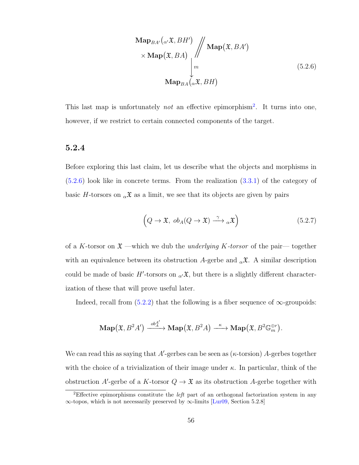<span id="page-62-1"></span>
$$
\begin{array}{c}\n\mathbf{Map}_{BA'}(\alpha' \mathfrak{X}, BH') \\
\times \mathbf{Map}(\mathfrak{X}, BA) \\
\downarrow m \\
\mathbf{Map}_{BA}(\alpha \mathfrak{X}, BH)\n\end{array}
$$
\n(5.2.6)

This last map is unfortunately *not* an effective epimorphism<sup>[2](#page-62-0)</sup>. It turns into one, however, if we restrict to certain connected components of the target.

#### 5.2.4

Before exploring this last claim, let us describe what the objects and morphisms in [\(5.2.6\)](#page-62-1) look like in concrete terms. From the realization [\(3.3.1\)](#page-33-0) of the category of basic H-torsors on  $_{\alpha} \mathfrak{X}$  as a limit, we see that its objects are given by pairs

<span id="page-62-2"></span>
$$
(Q \to \mathfrak{X}, ob_A(Q \to \mathfrak{X}) \xrightarrow{\gamma} {}_{\alpha} \mathfrak{X})
$$
 (5.2.7)

of a K-torsor on  $\mathfrak{X}$  —which we dub the underlying K-torsor of the pair— together with an equivalence between its obstruction A-gerbe and  $_{\alpha} \mathfrak{X}$ . A similar description could be made of basic H'-torsors on  $\alpha \mathcal{X}$ , but there is a slightly different characterization of these that will prove useful later.

Indeed, recall from  $(5.2.2)$  that the following is a fiber sequence of  $\infty$ -groupoids:

$$
\mathbf{Map}\big(\mathfrak{X},B^2A'\big) \xrightarrow{ob_A^{A'}} \mathbf{Map}\big(\mathfrak{X},B^2A\big) \xrightarrow{\kappa} \mathbf{Map}\big(\mathfrak{X},B^2\mathbb{G}_m^{\oplus r}\big).
$$

We can read this as saying that A'-gerbes can be seen as  $(\kappa\text{-torsion})$  A-gerbes together with the choice of a trivialization of their image under  $\kappa$ . In particular, think of the obstruction A'-gerbe of a K-torsor  $Q \to \mathfrak{X}$  as its obstruction A-gerbe together with

<span id="page-62-0"></span><sup>2</sup>Effective epimorphisms constitute the left part of an orthogonal factorization system in any ∞-topos, which is not necessarily preserved by ∞-limits [\[Lur09,](#page-75-6) Section 5.2.8]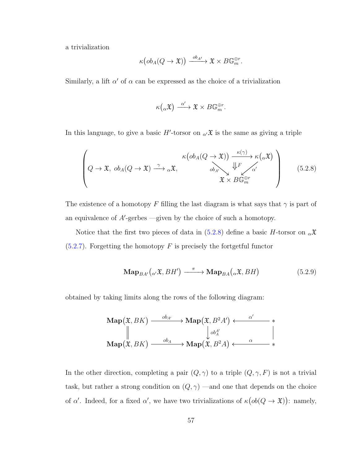a trivialization

$$
\kappa\big(ob_A(Q\to \mathfrak{X})\big)\xrightarrow{ob_{A'}} \mathfrak{X}\times B\mathbb{G}_m^{\oplus r}.
$$

Similarly, a lift  $\alpha'$  of  $\alpha$  can be expressed as the choice of a trivialization

$$
\kappa\big(\alpha\mathfrak{X}\big) \xrightarrow{\alpha'} \mathfrak{X} \times B\mathbb{G}_m^{\oplus r}.
$$

In this language, to give a basic  $H'$ -torsor on  $_{\alpha'}\mathfrak{X}$  is the same as giving a triple

<span id="page-63-0"></span>
$$
\left(Q \to \mathfrak{X}, ob_A(Q \to \mathfrak{X}) \xrightarrow{\gamma} {}_{\alpha} \mathfrak{X}, \begin{array}{c} \kappa (ob_A(Q \to \mathfrak{X})) \xrightarrow{\kappa (\gamma)}{}_{\kappa (\alpha \mathfrak{X})} \\ ob_{A'} \searrow \downarrow^{\mathfrak{L}} \epsilon' \\ \mathfrak{X} \times B \mathbb{G}_m^{\oplus r} \end{array}\right) \tag{5.2.8}
$$

The existence of a homotopy F filling the last diagram is what says that  $\gamma$  is part of an equivalence of  $A'$ -gerbes —given by the choice of such a homotopy.

Notice that the first two pieces of data in [\(5.2.8\)](#page-63-0) define a basic H-torsor on  $_{\alpha} \mathfrak{X}$  $(5.2.7)$ . Forgetting the homotopy F is precisely the fortgetful functor

<span id="page-63-1"></span>
$$
\mathbf{Map}_{BA'}\left({_{\alpha'}\mathfrak{X}, BH'}\right) \xrightarrow{\pi} \mathbf{Map}_{BA}\left({_{\alpha}\mathfrak{X}, BH}\right) \tag{5.2.9}
$$

obtained by taking limits along the rows of the following diagram:

$$
\operatorname{Map}(\mathfrak{X}, BK) \xrightarrow{ob_{A'}} \operatorname{Map}(\mathfrak{X}, B^2A') \xleftarrow{\alpha'} \ast
$$
  
\n
$$
\parallel \qquad \qquad \downarrow \downarrow ob_A'
$$
  
\n
$$
\operatorname{Map}(\mathfrak{X}, BK) \xrightarrow{ob_A} \operatorname{Map}(\mathfrak{X}, B^2A) \xleftarrow{\alpha} \qquad \qquad \downarrow \qquad \qquad \downarrow
$$

In the other direction, completing a pair  $(Q,\gamma)$  to a triple  $(Q,\gamma,F)$  is not a trivial task, but rather a strong condition on  $(Q, \gamma)$  —and one that depends on the choice of  $\alpha'$ . Indeed, for a fixed  $\alpha'$ , we have two trivializations of  $\kappa (ob(Q \to \mathfrak{X}))$ : namely,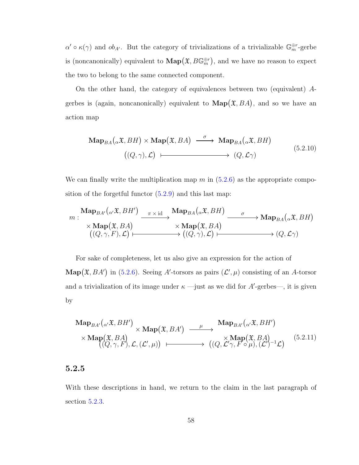$\alpha' \circ \kappa(\gamma)$  and  $\delta_{A'}$ . But the category of trivializations of a trivializable  $\mathbb{G}_m^{\oplus r}$ -gerbe is (noncanonically) equivalent to  $\mathbf{Map}(\mathfrak{X},B\mathbb{G}_m^{\oplus r})$ , and we have no reason to expect the two to belong to the same connected component.

On the other hand, the category of equivalences between two (equivalent) Agerbes is (again, noncanonically) equivalent to  $\text{Map}(\mathfrak{X}, BA)$ , and so we have an action map

$$
\mathbf{Map}_{BA}(\alpha \mathfrak{X}, BH) \times \mathbf{Map}(\mathfrak{X}, BA) \xrightarrow{\sigma} \mathbf{Map}_{BA}(\alpha \mathfrak{X}, BH)
$$
\n
$$
((Q, \gamma), \mathcal{L}) \longmapsto (Q, \mathcal{L}\gamma) \tag{5.2.10}
$$

We can finally write the multiplication map  $m$  in  $(5.2.6)$  as the appropriate composition of the forgetful functor  $(5.2.9)$  and this last map:

$$
m: \frac{\mathrm{Map}_{BA'}(\alpha \mathfrak{X}, BH')}{\times \mathrm{Map}(\mathfrak{X}, BA)} \xrightarrow[\alpha \infty]{} \frac{\pi \times \mathrm{id}}{\times \mathrm{Map}(\mathfrak{X}, BA)} \xrightarrow[\alpha \infty]{} \mathrm{Map}(\mathfrak{X}, BA) \xrightarrow[\alpha \infty]{} \alpha \longrightarrow \mathrm{Map}_{BA}(\alpha \mathfrak{X}, BH)
$$
\n
$$
\xrightarrow[\alpha \in \alpha]{} (\mathcal{Q}, \gamma, F), \mathcal{L}) \longmapsto (\mathcal{Q}, \gamma), \mathcal{L}) \longmapsto (\mathcal{Q}, \mathcal{L}\gamma)
$$

For sake of completeness, let us also give an expression for the action of  $\mathbf{Map}(\mathfrak{X}, BA')$  in [\(5.2.6\)](#page-62-1). Seeing A'-torsors as pairs  $(\mathcal{L}', \mu)$  consisting of an A-torsor and a trivialization of its image under  $\kappa$  —just as we did for A'-gerbes—, it is given by

<span id="page-64-0"></span>
$$
\begin{array}{ccc}\n\textbf{Map}_{BA'}(\alpha'\mathfrak{X}, BH') & \times \textbf{Map}(\mathfrak{X}, BA') & \xrightarrow{\mu} & \textbf{Map}_{BA'}(\alpha'\mathfrak{X}, BH') \\
\times \textbf{Map}(\mathfrak{X}, BA) & \times \textbf{Map}(\mathfrak{X}, BA) & \times \textbf{Map}(\mathfrak{X}, BA) \\
((Q, \gamma, F), \mathcal{L}, (\mathcal{L}', \mu)) & \xrightarrow{\mu} & ((Q, \mathcal{L}'\gamma, F \circ \mu), (\mathcal{L}')^{-1} \mathcal{L})\n\end{array} (5.2.11)
$$

### <span id="page-64-1"></span>5.2.5

With these descriptions in hand, we return to the claim in the last paragraph of section [5.2.3.](#page-60-1)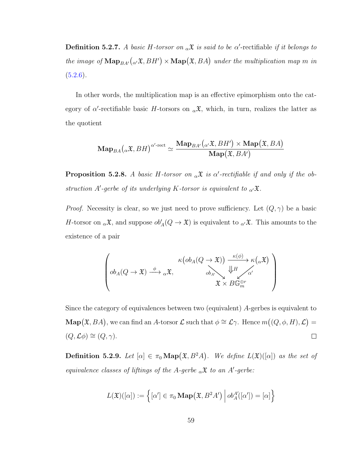**Definition 5.2.7.** A basic H-torsor on  $_{\alpha} \mathfrak{X}$  is said to be  $\alpha'$ -rectifiable if it belongs to the image of  $\textbf{Map}_{BA'}(\alpha \mathfrak{X}, BH') \times \textbf{Map}(\mathfrak{X}, BA)$  under the multiplication map m in  $(5.2.6).$  $(5.2.6).$ 

In other words, the multiplication map is an effective epimorphism onto the category of  $\alpha'$ -rectifiable basic H-torsors on  $_{\alpha} \mathfrak{X}$ , which, in turn, realizes the latter as the quotient

$$
\mathbf{Map}_{BA}\big({}_{\alpha}\mathfrak{X}, BH\big)^{\alpha'\text{-rect}} \simeq \frac{\mathbf{Map}_{BA'}\big({}_{\alpha'}\mathfrak{X}, BH'\big) \times \mathbf{Map}\big(\mathfrak{X}, BA\big)}{\mathbf{Map}\big(\mathfrak{X}, BA'\big)}
$$

<span id="page-65-0"></span>**Proposition 5.2.8.** A basic H-torsor on  $_{\alpha} \mathfrak{X}$  is  $\alpha'$ -rectifiable if and only if the obstruction A'-gerbe of its underlying K-torsor is equivalent to  $\alpha \mathfrak{X}$ .

*Proof.* Necessity is clear, so we just need to prove sufficiency. Let  $(Q, \gamma)$  be a basic H-torsor on  $_{\alpha} \mathfrak{X}$ , and suppose  $ob'_{A}(Q \to \mathfrak{X})$  is equivalent to  $_{\alpha'} \mathfrak{X}$ . This amounts to the existence of a pair

$$
\left( ob_A(Q \to \mathfrak{X}) \xrightarrow{\phi} {}_{\alpha} \mathfrak{X}, \begin{matrix} \kappa (ob_A(Q \to \mathfrak{X})) & \xrightarrow{\kappa (\phi)}{}_{\kappa (\alpha \mathfrak{X})} \\ ob_A(Q \to \mathfrak{X}) & ob_A \\ \mathfrak{X} \times B\mathbb{G}_m^{\oplus r} \end{matrix} \right)
$$

Since the category of equivalences between two (equivalent) A-gerbes is equivalent to **Map** $(\mathfrak{X}, BA)$ , we can find an A-torsor  $\mathcal{L}$  such that  $\phi \cong \mathcal{L}\gamma$ . Hence  $m((Q, \phi, H), \mathcal{L})$  $(Q, \mathcal{L}\phi) \cong (Q, \gamma).$  $\Box$ 

**Definition 5.2.9.** Let  $[\alpha] \in \pi_0 \text{Map}(\mathfrak{X}, B^2A)$ . We define  $L(\mathfrak{X})([\alpha])$  as the set of equivalence classes of liftings of the A-gerbe  $_{\alpha} \mathfrak{X}$  to an A'-gerbe:

$$
L(\mathfrak{X})([\alpha]) := \left\{ [\alpha'] \in \pi_0 \operatorname{{\bf Map}}(\mathfrak{X}, B^2A') \middle| ob_A^{A'}([\alpha']) = [\alpha] \right\}
$$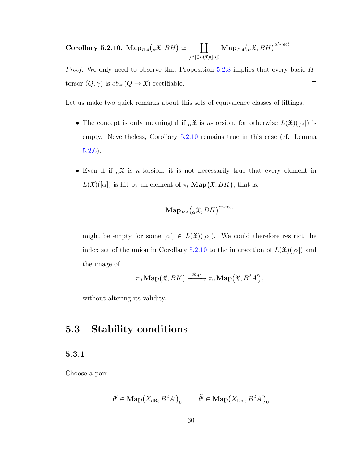<span id="page-66-1"></span>Corollary 5.2.10.  $\mathrm{Map}_{BA}({}_{\alpha}\mathfrak{X},BH) \simeq$  $\prod \textbf{Map}_{BA}(\alpha \mathfrak{X}, BH)^{\alpha' \text{-rect}}$  $[\alpha'] {\in} L(\mathfrak{X})([\alpha])$ 

Proof. We only need to observe that Proposition [5.2.8](#page-65-0) implies that every basic Htorsor  $(Q, \gamma)$  is  $ob_{A'}(Q \to \mathfrak{X})$ -rectifiable.  $\Box$ 

Let us make two quick remarks about this sets of equivalence classes of liftings.

- The concept is only meaningful if  $_{\alpha} \mathfrak{X}$  is  $\kappa$ -torsion, for otherwise  $L(\mathfrak{X})(\alpha)$  is empty. Nevertheless, Corollary [5.2.10](#page-66-1) remains true in this case (cf. Lemma [5.2.6\)](#page-60-2).
- Even if if  $_{\alpha} \mathfrak{X}$  is  $\kappa$ -torsion, it is not necessarily true that every element in  $L(\mathfrak{X})(\alpha)$  is hit by an element of  $\pi_0 \operatorname{Map}(\mathfrak{X}, BK)$ ; that is,

$$
\mathbf{Map}_{BA}\big(\mathbf{}_\alpha\mathfrak{X},BH\big)^{\alpha'\text{-rect}}
$$

might be empty for some  $[\alpha'] \in L(\mathfrak{X})([\alpha])$ . We could therefore restrict the index set of the union in Corollary [5.2.10](#page-66-1) to the intersection of  $L(\mathfrak{X})([\alpha])$  and the image of

$$
\pi_0 \operatorname{Map}(\mathfrak{X}, BK) \xrightarrow{ob_{A'}} \pi_0 \operatorname{Map}(\mathfrak{X}, B^2A'),
$$

without altering its validity.

### <span id="page-66-0"></span>5.3 Stability conditions

### <span id="page-66-2"></span>5.3.1

Choose a pair

$$
\theta' \in \mathbf{Map}\big(X_{\mathrm{dR}}, B^2A'\big)_0, \qquad \widetilde{\theta'} \in \mathbf{Map}\big(X_{\mathrm{Dol}}, B^2A'\big)_0
$$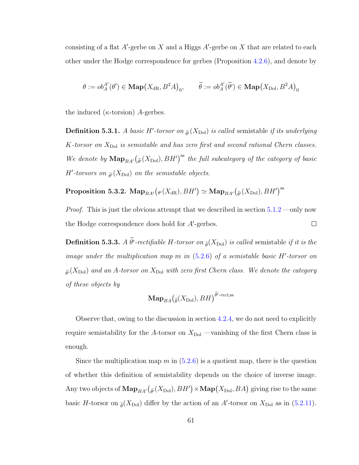consisting of a flat  $A'$ -gerbe on X and a Higgs  $A'$ -gerbe on X that are related to each other under the Hodge correspondence for gerbes (Proposition [4.2.6\)](#page-45-0), and denote by

$$
\theta := ob_A^{A'}(\theta') \in \mathbf{Map}\big(X_{\mathrm{dR}}, B^2A\big)_0, \qquad \widetilde{\theta} := ob_A^{A'}(\widetilde{\theta'}) \in \mathbf{Map}\big(X_{\mathrm{Dol}}, B^2A\big)_0
$$

the induced ( $\kappa$ -torsion) A-gerbes.

**Definition 5.3.1.** A basic H'-torsor on  $\tilde{\theta}$  (X<sub>Dol</sub>) is called semistable if its underlying K-torsor on  $X_{\text{Dol}}$  is semistable and has zero first and second rational Chern classes. We denote by  $\mathbf{Map}_{BA'}(\tilde{\theta}(X_{\text{Dol}}), BH')^{\text{ss}}$  the full subcategory of the category of basic  $H'$ -torsors on  $_{\widetilde{\theta'}}(X_{\mathrm{Dol}})$  on the semistable objects.

Proposition 5.3.2.  $\mathbf{Map}_{BA'}\big(\theta'(X_{\mathrm{dR}}), BH'\big) \simeq \mathbf{Map}_{BA'}\big(\widetilde{\theta'}(X_{\mathrm{Dol}}), BH'\big)^{\mathrm{ss}}$ 

Proof. This is just the obvious attempt that we described in section [5.1.2](#page-52-1) —only now the Hodge correspondence does hold for  $A'$ -gerbes.  $\Box$ 

**Definition 5.3.3.** A  $\theta'$ -rectifiable H-torsor on  $_{\tilde{\theta}}(X_{\text{Dol}})$  is called semistable if it is the image under the multiplication map  $m$  in  $(5.2.6)$  of a semistable basic H'-torsor on  $\tilde{\rho}(X_{\text{Dol}})$  and an A-torsor on  $X_{\text{Dol}}$  with zero first Chern class. We denote the category of these objects by

$$
\mathbf{Map}_{BA}(\tilde{\mathfrak{g}}(X_{\mathrm{Dol}}), BH)^{\widetilde{\theta}'\text{-rect}, \mathrm{ss}}
$$

Observe that, owing to the discussion in section [4.2.4,](#page-46-0) we do not need to explicitly require semistability for the A-torsor on  $X_{\text{Dol}}$  —vanishing of the first Chern class is enough.

Since the multiplication map m in  $(5.2.6)$  is a quotient map, there is the question of whether this definition of semistability depends on the choice of inverse image. Any two objects of  $\mathbf{Map}_{BA'}(\tilde{\theta}(X_{\text{Dol}}), BH') \times \mathbf{Map}(X_{\text{Dol}}, BA)$  giving rise to the same basic H-torsor on  $_{\tilde{\theta}}(X_{\text{Dol}})$  differ by the action of an A'-torsor on  $X_{\text{Dol}}$  as in [\(5.2.11\)](#page-64-0).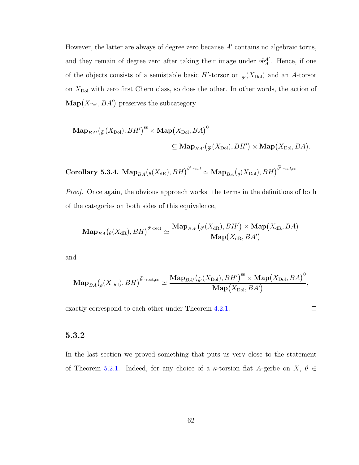However, the latter are always of degree zero because  $A'$  contains no algebraic torus, and they remain of degree zero after taking their image under  $ob_A^{A'}$ . Hence, if one of the objects consists of a semistable basic  $H'$ -torsor on  $_{\tilde{\theta'}}(X_{\text{Dol}})$  and an A-torsor on  $X_{\text{Dol}}$  with zero first Chern class, so does the other. In other words, the action of  $\mathrm{Map}(X_{\mathrm{Dol}}, BA')$  preserves the subcategory

$$
\mathbf{Map}_{BA'}(\tilde{\theta}(X_{\mathrm{Dol}}), BH')^{\mathrm{ss}} \times \mathbf{Map}(X_{\mathrm{Dol}}, BA)^{0}
$$
  

$$
\subseteq \mathbf{Map}_{BA'}(\tilde{\theta}(X_{\mathrm{Dol}}), BH') \times \mathbf{Map}(X_{\mathrm{Dol}}, BA).
$$

<span id="page-68-0"></span> $\textbf{Corollary 5.3.4. } \operatorname{Map}_{BA}\left(\theta(X_{\text{dR}}), BH\right)^{\theta'\text{-rect}} \simeq \operatorname{Map}_{BA}\left(\tilde{\theta}(X_{\text{Dol}}), BH\right)^{\tilde{\theta}'\text{-rect,ss}}$ 

Proof. Once again, the obvious approach works: the terms in the definitions of both of the categories on both sides of this equivalence,

$$
\mathbf{Map}_{BA}\big({}_{\theta}(X_{\mathrm{dR}}), BH\big)^{\theta'\text{-rect}} \simeq \frac{\mathbf{Map}_{BA'}\big(\theta'(X_{\mathrm{dR}}), BH'\big) \times \mathbf{Map}\big(X_{\mathrm{dR}}, BA\big)}{\mathbf{Map}\big(X_{\mathrm{dR}}, BA'\big)}
$$

and

$$
\mathbf{Map}_{BA}\left(\tilde{\theta}(X_{\mathrm{Dol}}),BH\right)^{\tilde{\theta}'\text{-rect},ss}\simeq\frac{\mathbf{Map}_{BA'}\left(\tilde{\theta'}(X_{\mathrm{Dol}}),BH'\right)^{ss}\times\mathbf{Map}\left(X_{\mathrm{Dol}},BA\right)^{0}}{\mathbf{Map}(X_{\mathrm{Dol}},BA')},
$$

exactly correspond to each other under Theorem [4.2.1.](#page-41-0)

 $\Box$ 

#### 5.3.2

In the last section we proved something that puts us very close to the statement of Theorem [5.2.1.](#page-56-1) Indeed, for any choice of a  $\kappa$ -torsion flat A-gerbe on X,  $\theta \in$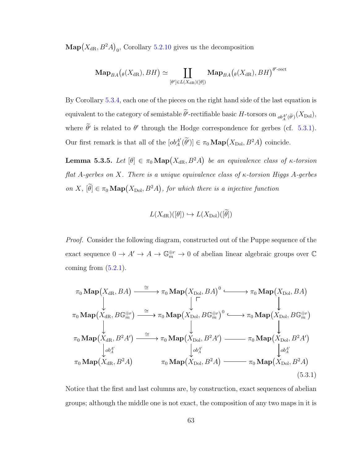$\mathbf{Map}(X_{\mathrm{dR}}, B^2A)_0$ , Corollary [5.2.10](#page-66-1) gives us the decomposition

$$
\mathbf{Map}_{BA}(\theta(X_{\mathrm{dR}}), BH) \simeq \coprod_{[\theta'] \in L(X_{\mathrm{dR}})([\theta])} \mathbf{Map}_{BA}(\theta(X_{\mathrm{dR}}), BH)^{\theta'\text{-rect}}
$$

By Corollary [5.3.4,](#page-68-0) each one of the pieces on the right hand side of the last equation is equivalent to the category of semistable  $\theta'$ -rectifiable basic  $H$ -torsors on  ${}_{ob_A^{A'}(\widetilde{\theta'})}(X_{\mathrm{Dol}})$ , where  $\theta'$  is related to  $\theta'$  through the Hodge correspondence for gerbes (cf. [5.3.1\)](#page-66-2). Our first remark is that all of the  $[ob_A^{A'}(\tilde{\theta}')] \in \pi_0 \text{Map}(X_{\text{Dol}}, B^2A)$  coincide.

<span id="page-69-1"></span>**Lemma 5.3.5.** Let  $[\theta] \in \pi_0 \text{Map}(X_{dR}, B^2A)$  be an equivalence class of  $\kappa$ -torsion flat A-gerbes on X. There is a unique equivalence class of  $\kappa$ -torsion Higgs A-gerbes on X,  $[\hat{\theta}] \in \pi_0 \operatorname{Map}(X_{\text{Dol}}, B^2A)$ , for which there is a injective function

$$
L(X_{\mathrm{dR}})(\left[\theta\right]) \hookrightarrow L(X_{\mathrm{Dol}})(\left[\theta\right])
$$

Proof. Consider the following diagram, constructed out of the Puppe sequence of the exact sequence  $0 \to A' \to A \to \mathbb{G}_m^{\oplus r} \to 0$  of abelian linear algebraic groups over  $\mathbb C$ coming from  $(5.2.1)$ .

<span id="page-69-0"></span>
$$
\pi_0 \operatorname{Map}(X_{\text{dR}}, BA) \xrightarrow{\cong} \pi_0 \operatorname{Map}(X_{\text{Dol}}, BA)^0 \xrightarrow{\cong} \pi_0 \operatorname{Map}(X_{\text{Dol}}, BA)
$$
\n
$$
\downarrow \qquad \qquad \downarrow \qquad \qquad \downarrow
$$
\n
$$
\pi_0 \operatorname{Map}(X_{\text{dR}}, B\mathbb{G}_m^{\oplus r}) \xrightarrow{\cong} \pi_0 \operatorname{Map}(X_{\text{Dol}}, B\mathbb{G}_m^{\oplus r})^0 \xrightarrow{\cong} \pi_0 \operatorname{Map}(X_{\text{Dol}}, B\mathbb{G}_m^{\oplus r})
$$
\n
$$
\downarrow \qquad \qquad \downarrow
$$
\n
$$
\pi_0 \operatorname{Map}(X_{\text{dR}}, B^2A') \xrightarrow{\cong} \pi_0 \operatorname{Map}(X_{\text{Dol}}, B^2A') \xrightarrow{\cong} \pi_0 \operatorname{Map}(X_{\text{Dol}}, B^2A')
$$
\n
$$
\downarrow \downarrow \downarrow \downarrow \downarrow
$$
\n
$$
\pi_0 \operatorname{Map}(X_{\text{dR}}, B^2A) \qquad \qquad \pi_0 \operatorname{Map}(X_{\text{Dol}}, B^2A) \xrightarrow{\pi_0 \operatorname{Map}(X_{\text{Dol}}, B^2A)} (\text{5.3.1})
$$

Notice that the first and last columns are, by construction, exact sequences of abelian groups; although the middle one is not exact, the composition of any two maps in it is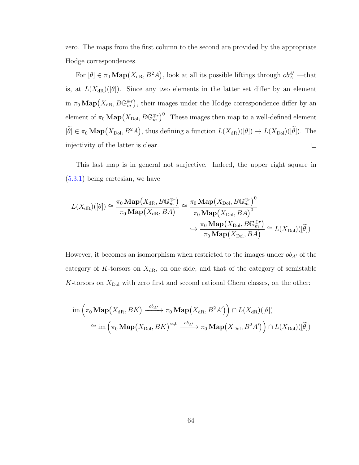zero. The maps from the first column to the second are provided by the appropriate Hodge correspondences.

For  $[\theta] \in \pi_0 \text{Map}(X_{dR}, B^2A)$ , look at all its possible liftings through  $ob_A^{A'}$  —that is, at  $L(X_{dR})(\lbrack \theta \rbrack)$ . Since any two elements in the latter set differ by an element in  $\pi_0 \text{Map}(X_{\text{dR}}, B\mathbb{G}_m^{\oplus r})$ , their images under the Hodge correspondence differ by an element of  $\pi_0 \operatorname{Map}(X_{\mathrm{Dol}}, B\mathbb{G}_m^{\oplus r})^0$ . These images then map to a well-defined element  $[\hat{\theta}] \in \pi_0 \operatorname{Map}(X_{\text{Dol}}, B^2 A)$ , thus defining a function  $L(X_{\text{dR}})([\theta]) \to L(X_{\text{Dol}})([\hat{\theta}])$ . The injectivity of the latter is clear.  $\Box$ 

This last map is in general not surjective. Indeed, the upper right square in [\(5.3.1\)](#page-69-0) being cartesian, we have

$$
L(X_{\mathrm{dR}})([\theta]) \cong \frac{\pi_0 \operatorname{Map}(X_{\mathrm{dR}}, B\mathbb{G}_m^{\oplus r})}{\pi_0 \operatorname{Map}(X_{\mathrm{dR}}, BA)} \cong \frac{\pi_0 \operatorname{Map}(X_{\mathrm{Dol}}, B\mathbb{G}_m^{\oplus r})^0}{\pi_0 \operatorname{Map}(X_{\mathrm{Dol}}, BA)^0}
$$

$$
\hookrightarrow \frac{\pi_0 \operatorname{Map}(X_{\mathrm{Dol}}, B\mathbb{G}_m^{\oplus r})}{\pi_0 \operatorname{Map}(X_{\mathrm{Dol}}, BA)} \cong L(X_{\mathrm{Dol}})([\tilde{\theta}])
$$

However, it becomes an isomorphism when restricted to the images under  $ob_{A'}$  of the category of  $K$ -torsors on  $X_{\text{dR}}$ , on one side, and that of the category of semistable K-torsors on  $X_{\text{Dol}}$  with zero first and second rational Chern classes, on the other:

$$
\operatorname{im}\left(\pi_0 \operatorname{Map}(X_{\mathrm{dR}}, BK) \xrightarrow{\mathrm{ob}_{A'}} \pi_0 \operatorname{Map}(X_{\mathrm{dR}}, B^2 A')\right) \cap L(X_{\mathrm{dR}})([\theta])
$$
\n
$$
\cong \operatorname{im}\left(\pi_0 \operatorname{Map}(X_{\mathrm{Dol}}, BK)^{\mathrm{ss},0} \xrightarrow{\mathrm{ob}_{A'}} \pi_0 \operatorname{Map}(X_{\mathrm{Dol}}, B^2 A')\right) \cap L(X_{\mathrm{Dol}})([\widetilde{\theta}])
$$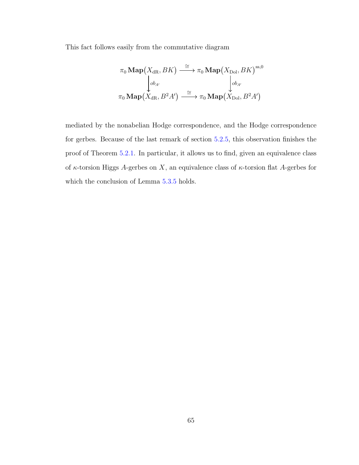This fact follows easily from the commutative diagram

$$
\pi_0 \operatorname{Map}(X_{\mathrm{dR}}, BK) \xrightarrow{\cong} \pi_0 \operatorname{Map}(X_{\mathrm{Dol}}, BK)^{\mathrm{ss}, 0}
$$
\n
$$
\downarrow_{ob_{A'}}
$$
\n
$$
\pi_0 \operatorname{Map}(X_{\mathrm{dR}}, B^2 A') \xrightarrow{\cong} \pi_0 \operatorname{Map}(X_{\mathrm{Dol}}, B^2 A')
$$

mediated by the nonabelian Hodge correspondence, and the Hodge correspondence for gerbes. Because of the last remark of section [5.2.5,](#page-64-1) this observation finishes the proof of Theorem [5.2.1.](#page-56-1) In particular, it allows us to find, given an equivalence class of  $\kappa$ -torsion Higgs A-gerbes on X, an equivalence class of  $\kappa$ -torsion flat A-gerbes for which the conclusion of Lemma [5.3.5](#page-69-1) holds.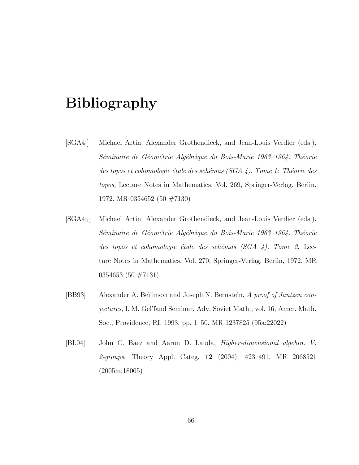## Bibliography

- $[SGA4_I]$ ] Michael Artin, Alexander Grothendieck, and Jean-Louis Verdier (eds.), Séminaire de Géométrie Algébrique du Bois-Marie 1963–1964. Théorie des topos et cohomologie étale des schémas (SGA  $4$ ). Tome 1: Théorie des topos, Lecture Notes in Mathematics, Vol. 269, Springer-Verlag, Berlin, 1972. MR 0354652 (50 #7130)
- [SGA4II] Michael Artin, Alexander Grothendieck, and Jean-Louis Verdier (eds.), Séminaire de Géométrie Algébrique du Bois-Marie 1963–1964. Théorie des topos et cohomologie étale des schémas  $(SGA \, 4)$ . Tome 2, Lecture Notes in Mathematics, Vol. 270, Springer-Verlag, Berlin, 1972. MR 0354653 (50 #7131)
- [BB93] Alexander A. Beïlinson and Joseph N. Bernstein, A proof of Jantzen conjectures, I. M. Gel'fand Seminar, Adv. Soviet Math., vol. 16, Amer. Math. Soc., Providence, RI, 1993, pp. 1–50. MR 1237825 (95a:22022)
- [BL04] John C. Baez and Aaron D. Lauda, Higher-dimensional algebra. V. 2-groups, Theory Appl. Categ. **12** (2004), 423-491. MR 2068521 (2005m:18005)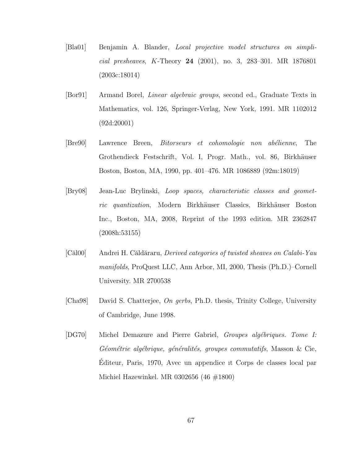- [Bla01] Benjamin A. Blander, Local projective model structures on simplicial presheaves, K-Theory 24 (2001), no. 3, 283–301. MR 1876801 (2003c:18014)
- [Bor91] Armand Borel, Linear algebraic groups, second ed., Graduate Texts in Mathematics, vol. 126, Springer-Verlag, New York, 1991. MR 1102012 (92d:20001)
- [Bre90] Lawrence Breen, *Bitorseurs et cohomologie non abélienne*, The Grothendieck Festschrift, Vol. I, Progr. Math., vol. 86, Birkhäuser Boston, Boston, MA, 1990, pp. 401–476. MR 1086889 (92m:18019)
- [Bry08] Jean-Luc Brylinski, Loop spaces, characteristic classes and geometric quantization, Modern Birkhäuser Classics, Birkhäuser Boston Inc., Boston, MA, 2008, Reprint of the 1993 edition. MR 2362847 (2008h:53155)
- [Căl00] Andrei H. Căldăraru, *Derived categories of twisted sheaves on Calabi-Yau* manifolds, ProQuest LLC, Ann Arbor, MI, 2000, Thesis (Ph.D.)–Cornell University. MR 2700538
- [Cha98] David S. Chatterjee, On gerbs, Ph.D. thesis, Trinity College, University of Cambridge, June 1998.
- [DG70] Michel Demazure and Pierre Gabriel, *Groupes algébriques. Tome I:* Géométrie algébrique, généralités, groupes commutatifs, Masson  $\&$  Cie, Editeur, Paris, 1970, Avec un appendice ıt Corps de classes local par ´ Michiel Hazewinkel. MR 0302656 (46 #1800)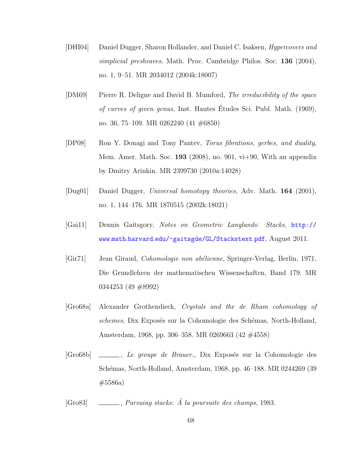- [DHI04] Daniel Dugger, Sharon Hollander, and Daniel C. Isaksen, *Hypercovers and* simplicial presheaves, Math. Proc. Cambridge Philos. Soc. 136 (2004), no. 1, 9–51. MR 2034012 (2004k:18007)
- [DM69] Pierre R. Deligne and David B. Mumford, The irreducibility of the space of curves of given genus, Inst. Hautes Etudes Sci. Publ. Math. (1969), ´ no. 36, 75–109. MR 0262240 (41 #6850)
- [DP08] Ron Y. Donagi and Tony Pantev, Torus fibrations, gerbes, and duality, Mem. Amer. Math. Soc. 193 (2008), no. 901,  $vi+90$ , With an appendix by Dmitry Arinkin. MR 2399730 (2010a:14028)
- [Dug01] Daniel Dugger, Universal homotopy theories, Adv. Math. 164 (2001), no. 1, 144–176. MR 1870515 (2002k:18021)
- [Gai11] Dennis Gaitsgory, Notes on Geometric Langlands: Stacks, [http://](http://www.math.harvard.edu/~gaitsgde/GL/Stackstext.pdf) www.math.harvard.[edu/~gaitsgde/GL/Stackstext](http://www.math.harvard.edu/~gaitsgde/GL/Stackstext.pdf).pdf, August 2011.
- [Gir71] Jean Giraud, *Cohomologie non abélienne*, Springer-Verlag, Berlin, 1971, Die Grundlehren der mathematischen Wissenschaften, Band 179. MR 0344253 (49 #8992)
- [Gro68a] Alexander Grothendieck, Crystals and the de Rham cohomology of schemes, Dix Exposés sur la Cohomologie des Schémas, North-Holland, Amsterdam, 1968, pp. 306–358. MR 0269663 (42 #4558)
- [Gro68b] \_\_\_\_, Le groupe de Brauer., Dix Exposés sur la Cohomologie des Schémas, North-Holland, Amsterdam, 1968, pp. 46–188. MR 0244269 (39 #5586a)
- [Gro83] , Pursuing stacks:  $\acute{A}$  la poursuite des champs, 1983.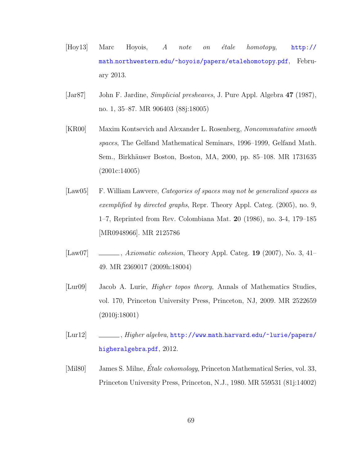- [Hoy13] Marc Hoyois,  $A$  note on étale homotopy,  $http://$ math.northwestern.[edu/~hoyois/papers/etalehomotopy](http://math.northwestern.edu/~hoyois/papers/etalehomotopy.pdf).pdf, February 2013.
- [Jar87] John F. Jardine, *Simplicial presheaves*, J. Pure Appl. Algebra 47 (1987), no. 1, 35–87. MR 906403 (88j:18005)
- [KR00] Maxim Kontsevich and Alexander L. Rosenberg, Noncommutative smooth spaces, The Gelfand Mathematical Seminars, 1996–1999, Gelfand Math. Sem., Birkhäuser Boston, Boston, MA, 2000, pp. 85–108. MR 1731635 (2001c:14005)
- [Law05] F. William Lawvere, Categories of spaces may not be generalized spaces as exemplified by directed graphs, Repr. Theory Appl. Categ. (2005), no. 9, 1–7, Reprinted from Rev. Colombiana Mat. 20 (1986), no. 3-4, 179–185 [MR0948966]. MR 2125786
- [Law07]  $\quad \underline{\hspace{2cm}}$ , Axiomatic cohesion, Theory Appl. Categ. 19 (2007), No. 3, 41– 49. MR 2369017 (2009h:18004)
- [Lur09] Jacob A. Lurie, Higher topos theory, Annals of Mathematics Studies, vol. 170, Princeton University Press, Princeton, NJ, 2009. MR 2522659 (2010j:18001)
- [Lur12] , Higher algebra, http://www.math.harvard.[edu/~lurie/papers/](http://www.math.harvard.edu/~lurie/papers/higheralgebra.pdf) [higheralgebra](http://www.math.harvard.edu/~lurie/papers/higheralgebra.pdf).pdf, 2012.
- [Mil80] James S. Milne, *Étale cohomology*, Princeton Mathematical Series, vol. 33, Princeton University Press, Princeton, N.J., 1980. MR 559531 (81j:14002)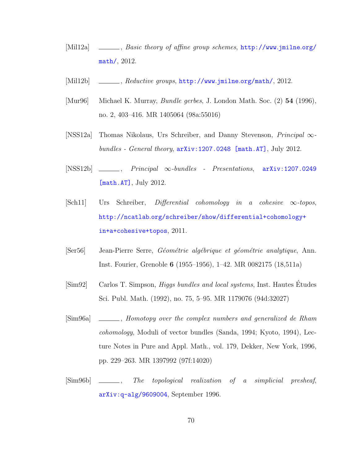- [Mil12a] , Basic theory of affine group schemes, [http://www](http://www.jmilne.org/math/).jmilne.org/ [math/](http://www.jmilne.org/math/), 2012.
- [Mil12b] , Reductive groups, [http://www](http://www.jmilne.org/math/).jmilne.org/math/, 2012.
- [Mur96] Michael K. Murray, Bundle gerbes, J. London Math. Soc. (2) 54 (1996), no. 2, 403–416. MR 1405064 (98a:55016)
- [NSS12a] Thomas Nikolaus, Urs Schreiber, and Danny Stevenson, Principal ∞ bundles - General theory,  $arXiv:1207.0248$  [math.AT], July 2012.
- $[NSS12b]$  , Principal  $\infty$ -bundles Presentations,  $arXiv:1207.0249$ [\[math.AT\]](http://arxiv.org/abs/1207.0249), July 2012.
- [Sch11] Urs Schreiber, Differential cohomology in a cohesive ∞-topos, http://ncatlab.[org/schreiber/show/differential+cohomology+](http://ncatlab.org/schreiber/show/differential+cohomology+in+a+cohesive+topos) [in+a+cohesive+topos](http://ncatlab.org/schreiber/show/differential+cohomology+in+a+cohesive+topos), 2011.
- [Ser56] Jean-Pierre Serre, Géométrie algébrique et géométrie analytique, Ann. Inst. Fourier, Grenoble 6 (1955–1956), 1–42. MR 0082175 (18,511a)
- [Sim92] Carlos T. Simpson, Higgs bundles and local systems, Inst. Hautes Etudes ´ Sci. Publ. Math. (1992), no. 75, 5–95. MR 1179076 (94d:32027)
- [Sim96a] , Homotopy over the complex numbers and generalized de Rham cohomology, Moduli of vector bundles (Sanda, 1994; Kyoto, 1994), Lecture Notes in Pure and Appl. Math., vol. 179, Dekker, New York, 1996, pp. 229–263. MR 1397992 (97f:14020)
- [Sim96b] \_\_\_\_\_, The topological realization of a simplicial presheaf, [arXiv:q-alg/9609004](http://arxiv.org/abs/q-alg/9609004), September 1996.